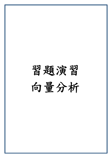# 習題演習 向量分析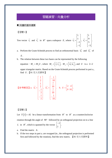# 習題演習:向量分析

#### ■ 向量的基本運算

【習題 1】

Tow vector  $v_1$  $\rightarrow$ and  $v_2$  $\overline{\phantom{a}}$ in  $R^4$  span a subspace  $E$ , where  $\overrightarrow{v_1}$ 1 1 1 1 *v*  $\begin{bmatrix} 1 \\ 1 \end{bmatrix}$  $\overrightarrow{v_1} = \begin{bmatrix} 1 \\ -1 \\ -1 \end{bmatrix}, \overrightarrow{v_2}$ 1 9 5 3 *v*  $\vert 1 \vert$  $\vert \,\,$  $=\begin{pmatrix} 9 \\ 1 \end{pmatrix}$  $\vert 5 \vert$  $\lfloor -3 \rfloor$  $\overrightarrow{v_2} = \begin{vmatrix} 9 \\ -1 \end{vmatrix}$ .

a. Perform the Gram-Schmidt process to find an orthonormal basis  $w_1$  $\rightarrow$ and  $\overrightarrow{w_2}$  of

*E* .

b. The relation between these two bases can be represented by the following

equation:  $M_v = M_w U$ , where  $M_v = \left[\overrightarrow{v_1} \overrightarrow{v_2}\right]$ ,  $M_w = \left[\overrightarrow{w_1} \overrightarrow{w_2}\right]$ , and *U* is a 2×2

upper triangular matrix. Based on the Gram-Schmidt process performed in part a., find *U* .【91 交大交研所】

\n
$$
\begin{bmatrix}\n \frac{1}{2} \\
 \frac{1}{2} \\
 -\frac{1}{2} \\
 -\frac{1}{2}\n \end{bmatrix},\n \overrightarrow{w_2} =\n \begin{bmatrix}\n -\frac{1}{10} \\
 \frac{7}{10} \\
 \frac{7}{10} \\
 10 \\
 -\frac{1}{10}\n \end{bmatrix},\n \quad\n b.\n \quad\n U =\n \begin{bmatrix}\n 2 & 4 \\
 0 & 10\n \end{bmatrix}.
$$
\n

【習題 2】

Let  $T(\vec{x}) = A\vec{x}$  be a linear transformation from  $R^2$  to  $R^2$  as a counterclockwise rotation through the angle of 90° followed by an orthogonal projection on to a line *L* in  $R^2$ , which is spanned by the vector  $\begin{bmatrix} -1 \\ 1 \end{bmatrix}$  $\begin{bmatrix} -1 \\ 1 \end{bmatrix}$ .

- a. Find the matrix *A* .
- b. If the two steps in part a. are swapped (ie., the orthogonal projection is performed first and followed by the rotation), find the new matrix. 【91 交大交研所】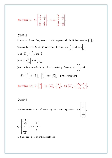\n
$$
\text{[}\n \text{[}\n \text{[}\n \text{[}\n \text{[}\n \text{[}\n \text{[}\n \text{[}\n \text{[}\n \text{[}\n \text{[}\n \text{[}\n \text{[}\n \text{[}\n \text{[}\n \text{[}\n \text{[}\n \text{[}\n \text{[}\n \text{[}\n \text{[}\n \text{[}\n \text{[}\n \text{[}\n \text{[}\n \text{[}\n \text{[}\n \text{[}\n \text{[}\n \text{[}\n \text{[}\n \text{[}\n \text{[}\n \text{[}\n \text{[}\n \text{[}\n \text{[}\n \text{[}\n \text{[}\n \text{[}\n \text{[}\n \text{[}\n \text{[}\n \text{[}\n \text{[}\n \text{[}\n \text{[}\n \text{[}\n \text{[}\n \text{[}\n \text{[}\n \text{[}\n \text{[}\n \text{[}\n \text{[}\n \text{[}\n \text{[}\n \text{[}\n \text{[}\n \text{[}\n \text{[}\n \text{[}\n \text{[}\n \text{[}\n \text{[}\n \text{[}\n \text{[}\n \text{[}\n \text{[}\n \text{[}\n \text{[}\n \text{[}\n \text{[}\n \text{[}\n \text{[}\n \text{[}\n \text{[}\n \text{[}\n \text{[}\n \text{[}\n \text{[}\n \text{[}\n \text{[}\n \text{[}\n \text{[}\n \text{[}\n \text{[}\n \text{[}\n \text{[}\n \text{[}\n \text{[}\n \text{[}\n \text{[}\n \text{[}\n \text{[}\n \text{[}\n \text{[}\n \text{[}\n \text{[}\n \text{[}\n \text{[}\n \text{[}\n \text{[}\n \text{[}\n \text{[}\n \text{[}\n \text{[}\n \text{[}\n \text{[}\n \text{[}\n \text{[}\n \text{[}\n \text{[}\n \text{[}\n \text{[}\n \text{[}\n \text{[}\n \text{[}\n \text{[}\n \text{[}\n \text{[}\n \text{[}\n \text{[}\n \text{[}\n \text{[}\n \text{[}\n \text{[
$$

# 【習題 3】

Assume coordinate of any vector *x*  $\rightarrow$ with respect to a basis *B* is denoted as  $\begin{bmatrix} \vec{x} \end{bmatrix}_B$ . Consider the basis  $B_1$  of  $R^2$  consisting of vector,  $\vec{v}_1 = \begin{bmatrix} 2 & 1 \\ 2 & 1 \end{bmatrix}$ 1 *v*  $\vec{v}_1 = \begin{bmatrix} 2 \\ 1 \end{bmatrix}$ , and  $\vec{v}_2 = \begin{bmatrix} 5 \\ 3 \end{bmatrix}$ 3 *v*  $\overrightarrow{v_2} = \begin{bmatrix} 5 \\ 3 \end{bmatrix}.$ (1) If  $\left\lfloor x_1 \right\rfloor_{B_1}$ 2  $B_1$  1 *x*  $\begin{bmatrix} \overrightarrow{x_1} \end{bmatrix}_{B_1} = \begin{bmatrix} 2 \ 1 \end{bmatrix}$ , find  $\overrightarrow{x_1}$ . (2) If  $x_2$ 1 0 *x*  $\overrightarrow{x_2} = \begin{bmatrix} 1 \\ 0 \end{bmatrix}$ , find  $\left[\overrightarrow{x_2}\right]_{B_1}$ . (3) Consider another basis  $B_2$  of  $R^2$  consisting of vector,  $\vec{u}_1 = \begin{bmatrix} 0 & 0 \\ 0 & 1 \end{bmatrix}$ 1 *u*  $\overrightarrow{u_1} = \begin{bmatrix} 0 \\ 1 \end{bmatrix}$ , and 2 1 0 *u*  $\overrightarrow{u_2} = \begin{bmatrix} -1 \\ 0 \end{bmatrix}$ . If  $\left[\overrightarrow{x_3}\right]_{B_2}$ 1 3  $B_2$   $\lfloor c_2$ *c x*  $\begin{bmatrix} \overrightarrow{x_3} \end{bmatrix}_{B_2} = \begin{bmatrix} c_1 \ c_2 \end{bmatrix}$ , find  $\begin{bmatrix} \overrightarrow{x_3} \end{bmatrix}_{B_1}$ . 【92 交大交研所】 【參考解答】(1)  $x_{\rm l}$ 9 5 *x*  $\overrightarrow{x_1} = \begin{bmatrix} 9 \\ 5 \end{bmatrix}$ . (2)  $\overrightarrow{x_2} \bigg|_{B_1}$ 3  $B_1$  |  $-1$ *x*  $\begin{bmatrix} \overrightarrow{x_2} \end{bmatrix}_{B_1} = \begin{bmatrix} 3 \\ -1 \end{bmatrix}$ . (3)  $\begin{bmatrix} \overrightarrow{x_3} \end{bmatrix}_{B_1}$  $1 \quad$   $\mathcal{L}_2$ 3  $1 + c_2$  $5c_1 - 3$  $B_1$  2  $c_1 - 3c$ *x*  $\begin{bmatrix} \overrightarrow{x_3} \end{bmatrix}_{B_1} = \begin{bmatrix} -5c_1 - 3c_2 \ 2c_1 + c_2 \end{bmatrix}.$ 

# 【習題 4】

Consider a basis *B* of  $R^3$  consisting of the following vectors:  $\overrightarrow{v_1}$ 

$$
\overrightarrow{v_1} = \begin{bmatrix} \frac{1}{\sqrt{2}} \\ 0 \\ \frac{1}{\sqrt{2}} \end{bmatrix},
$$

$$
\overrightarrow{v_2} = \begin{bmatrix} -\frac{1}{\sqrt{2}} \\ 0 \\ \frac{1}{\sqrt{2}} \end{bmatrix}, \quad \overrightarrow{v_3} = \begin{bmatrix} 0 \\ -1 \\ 0 \end{bmatrix}.
$$

(1) Show that *B* is an orthonormal basis.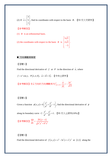(2) If 3 5 7 *x*  $|3|$  $=\vert 5 \vert$  $\lfloor 7 \rfloor$  $\begin{bmatrix} \vec{x} \end{bmatrix}$ , find its coordinates with respect to the basis  $\vec{B}$ . 【93 交大交研所】

 $5\sqrt{2}$ 

.

# 【參考解答】

(1) *B* is an orthonormal basis.

(2) the coordinates with respect to the basis  $\mathbf{B}$  is  $2\sqrt{2}$ 5  $\begin{bmatrix} 5\sqrt{2} \\ 2\sqrt{2} \\ -5 \end{bmatrix}$ 

■ 方向導數與梯度

# 【習題 1】

Find the directional derivative of *f* at *P* in the direction of *a*  $\rightarrow$ , where

 $f = e^x \cos y$ ,  $P(2, \pi, 0)$ ,  $\vec{a} = 2\vec{i} + 3\vec{j}$ . 【中央土研所】

【參考解答】在*a*  $\rightarrow$ 方向的方向導數爲 $\left. \nabla \! f \right|_{(2,\pi,0)}$ 2  $2, \pi, 0$ 2  $13$  $f|_{(2\pi 0)} \cdot \frac{a}{|x|} = -\frac{2e}{\sqrt{2}}$ *a*  $\nabla f\Big|_{(2,\pi,0)}\cdot\frac{a}{\vert -\vert}= \rightarrow$  $\frac{a}{4}$ 

# 【習題 2】

Given a function  $\phi(x, y)$  $\phi(x, y) = k \left( \frac{x^2}{a^2} + \frac{y^2}{b^2} - 1 \right)$ , find the directional derivative of  $\phi$ 

along its boundary curve  $C: \frac{x^2}{a^2} + \frac{y^2}{b^2} = 1$  $+\frac{y}{12}$ =1. 【95 交大土研所(10%)】

【參考解答】 $\frac{d\phi}{dn} = \frac{2k(y-x)}{\sqrt{x^4 + x^2 + k^4 + x^2}}$  $d\phi = 2k(y-x)$  $\frac{d\phi}{dn} = \frac{2k(y-x)}{\sqrt{a^4 y^2 + b^4 x}}$ 

# 【習題 3】

Find the directional derivative of  $f(x, y) = x^4 - 3x^3y + x^2y^2$  at (2,1) along the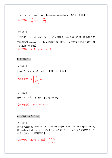curve  $x = t^2 + 1$ ,  $y = t^3$  in the direction of increasing *t*. 【成大土研所】 【參考解答】 $\frac{df}{dS} |_{P(t=1)} = -\frac{48}{\sqrt{25}}$  $P(t=1)$   $\sqrt{13}$  $\frac{df}{ds}\Big|_{P(t=1)} = -$ 

【習題 4】

 $E \big( x, y, z \big) = axy^2 + byz + cz^2x^3$ 在點 (1, 2, -1) 處沿著 *z* 軸的方向有最大的 方向導數(directional derivative),其值為 64,請問*a* ,*b* , *c* 三個常數值別為何?【91 中央土研所結構組】

**【參考解答】** $a = 6, b = 24, c = -8$ 

■ 散度與旋度

【習題 1】

Given  $\vec{R} = x\vec{i} + y\vec{j} + z\vec{k}$ , find  $\vec{n}$ . 【90 台大土研所】

$$
\left[\frac{1}{2} \frac{\partial \hat{\phi}}{\partial \hat{f}} + \frac{\partial \hat{f}}{\partial \hat{f}}\right] = 0
$$

【習題 2】 證明: ∇·(r<sup>n</sup>r) = (n+3)r<sup>n</sup>。【交大土研所】

【參考解答】∇· $(r^n\vec{r}) = (n+3)r^n$ 

■ 空間曲線的微分幾何

【習題 1】

請利用向量函數(vector function, parametric equation or parametric representation) 求 circular cylinder:  $x^2 + y^2 = a^2$ , 0≤z≤2表面( $x^2 + y^2 = a^2$ 所在之面)之單位正交 向量。【92 交大土研所甲組】

【參考解答】單位正交向量 2 2 *xi yj <sup>n</sup> x y* <sup>+</sup> <sup>=</sup> <sup>+</sup> <sup>G</sup> <sup>G</sup> <sup>G</sup>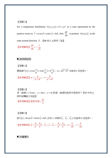# 【習題 2】

For a temperature distribution  $T(x, y, z) = x^2z + yz^2$  in a cone represented by the positive vector as  $\vec{r} = u \cos v \vec{i} + u \sin v \vec{j} + 2u \vec{k}$ , find  $\frac{dT}{dt}$  $\frac{dI}{dn}$  at position  $P(1,0,2)$  in the outer normal direction *n*  $\rightarrow$ . 【88 成大土研所丁組】

$$
[
$$
 **d 2 2 3 3 4 4 4 5 5 4 5 5 6 7 9 1 1 1 1 1 1 1 1 1 1 1 1 1 1 1 1 1 1 1 1 1 1 1 1 1 1 1 1 1 1 1 1 1 1 1 1 1 1 1 1 1 1 1 1 1 1 1 1 1 1 1 1 1 1 1 1 1 1 1 1 1 1 1 1 1 1 1 1 1 1 1 1 1 1 1 1 1 1 1 1 1 1 1 1 1 1 1 1 1 1 1 1**

■ 曲率與扭率

【習題 1】

螺旋線  $\vec{r}(s) = a \cos \frac{s}{\omega} \vec{i} + a \sin \frac{s}{\omega} \vec{j} + b \frac{s}{\omega} \vec{k}$ ,  $\omega = \sqrt{a^2 + b^2}$  求曲率κ 及扭率τ 。 【參考解答】 $\kappa = \frac{a}{a^2 + b^2}$  $\kappa = \frac{a}{a^2 + b^2}, \ \ \tau = \frac{b}{a^2 + b^2}$  $\tau = \frac{b}{a^2 + b}$ 

【習題 2】

有一曲線  $x = 3\cos t$ ,  $y = \sin t$ ,  $z = 4t$ ,則這一曲線的曲率半徑爲何?【93 中央土 研所結構組大地組】

【參考解答】曲率半徑 =  $\frac{25}{3}$ 

【習題 3】

設 $\vec{r}(t) = 3t \cos t \vec{i} + 3t \sin t \vec{j} + 4t \vec{k}$ ,求在 $t = 0$ 時的 $\vec{e}_t$ , *<sup>n</sup> e*  $\rightarrow$ , *<sup>b</sup> e*  $\rightarrow$ 以及曲率<sup>κ</sup> 及扭率<sup>τ</sup> 。

**【參考解答】** $\vec{e}_t = \frac{3}{5}\vec{i} + \frac{4}{5}\vec{k}$ **,**  $\vec{e}_n = \vec{j}$ ,  $\vec{e}_b = -\frac{4}{5}\vec{i} + \frac{3}{5}\vec{k}$ ,  $\kappa = \frac{6}{25}$  $\kappa = \frac{6}{25}, \tau = \frac{6}{25}$ 25  $\tau =$ 

■ 向量積分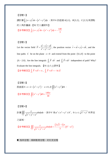# 【習題 1】

請計算 $\int_{k} (x+y)^2 dx - \left(x^2+y^2\right) dy$ ,其中*k* 依經過 *A*(1,1),*B*(3,2),*C*(2,5) 為頂點 的三角形圍線。【92 交大運研所】 **【参考解答】** $\int_{k}(x+y)^{2}dx - (x^{2}+y^{2})dy = -\frac{140}{3}$ 

# 【習題 2】

Let the vector field  $\vec{F} = \frac{xi - zj + yk}{x^2 + z^2}$  $=\frac{xi-zj+y}{x^2+y^2+z}$  $\vec{F} = \frac{x\vec{i} - z\vec{j} + y\vec{k}}{z\vec{j} + z\vec{k}}$ , the position vector  $\vec{r} = x\vec{i} + y\vec{j} + z\vec{k}$ , and the line paths *C* be on the plane  $x = 0$  and extend from the point  $(0,1,0)$  to the point  $(0. - 2.0)$ . Are the line integrals  $\int_C \vec{F} \cdot d\vec{r}$  and  $\int_C \vec{F} \times d\vec{r}$  independent of path? Why? Evaluate the line integrals. 【91 台大土研所】 **【参考解答】** $\int_{C} \vec{F} \times d\vec{r} = \pi$ **,**  $\int_{C} \vec{F} \times d\vec{r} = -\ln 2\vec{i}$  $\rightarrow$   $\rightarrow$   $\rightarrow$ 

[ **2** 3]   
設曲面*S* : *z* = 2-(
$$
x^2 + y^2
$$
) · *z* ≥ 0,  $\bar{x}$   $\iint_S (x^2 + y^2) dA$    
•   
 **2 3**  $\iint_S (x^2 + y^2) dA = \frac{149\pi}{30}$ 

【習題 4】

$$
\mathbb{H} \nsubseteq \iint_V \frac{z}{\sqrt{x^2 + y^2 + z^2}} dxdydz \quad \text{#} \quad \mathbb{H} \cdot \text{H} \quad V \nsubseteq a^2 \leq x^2 + y^2 \leq b^2 \,, \quad 0 \leq z \leq \sqrt{x^2 + y^2} \nsubseteq \mathbb{H} \cdot \text{H} \cdot \text{H}
$$

之區域。

$$
\text{[\frac{1}{2} \cdot \frac{1}{2} \cdot \frac{1}{2} \cdot \int_{V} \frac{z}{\sqrt{x^2 + y^2 + z^2}} dxdydz = \frac{(2\sqrt{2} - 1)\pi}{3} (b^3 - a^3)
$$

■ 格林定理、高斯散度定理、史托克定理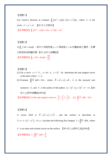# 【習題 1】

Use Green's theorem to evaluate  $\oint_C (3x^2 + y) dx + (2x + y^3) dy$ , where *C* is the circle  $x^2 + y^2 = a^2$ . 【93 交大交研所】 【参考解答】 $\oint_C (3x^2 + y) dx + (2x + y^3) dy = \pi a^2$ 

【習題 2】

求 $\oint_c y^2 dx + 4xy dy$ ,其中C為拋物線 y =  $x^2$ 與直線 y = 2*x* 所圍區域之邊界,且積 分路徑採逆時鐘走勢。【91 台科大結構組】

【參考解答】 $\oint_C y^2 dx + 4xydy = \frac{64}{15}$ 

【習題 3】

- (1) For a curve  $x = t^2 + 1$ ,  $y = 4t 3$ ,  $z = 2t^2 6t$ , determine the unit tangent vector at the point where  $t = 2$ .
- (2) Evaluate  $\|X \cdot ndS = 32$  $\iint_{S} \vec{X} \cdot \vec{n} dS = 32\pi$ , where  $\vec{X} = x\vec{i} + y\vec{j} + z\vec{k}$ ,  $\vec{n}$ is the outward unit

normal to *S*, and *S* is the surface of the sphere  $(x-1)^2 + (y+3)^2 + z^2 = 4$ . 【93 成大土研所結構組(20%)】

【參考解答】(1) the unit tangent vector is  $\frac{2}{2}i + \frac{2}{3}j + \frac{2}{3}k$  $3^{3}$  3  $\vec{i} + \frac{2}{3}\vec{j} + \frac{2}{3}\vec{k}$ , (2)  $\iint \vec{X} \cdot \vec{n} dS = 32\pi$ *S*

【習題 4】

A vector field is  $\vec{V} = y\vec{i} + x\vec{j} + x^2\vec{k}$ , and the surface is described as  $(S: z = 1 - (x^2 + y^2), 0 \le z$ , calculate the following flux integral  $I = \iint_{S} \vec{V} \cdot \vec{n} dA$ , where

*n* is an outer unit normal vector on the surface. 【95 成大土研所乙組(20%)】  $\overline{\phantom{a}}$ 

**【参考解答】**  $I = \iint_S \vec{V} \cdot \vec{n} dA = \frac{\pi}{4}$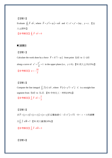# 【習題 5】 Evaluate  $\oint_C \vec{F} \cdot d\vec{r}$  $\oint_C \vec{F} \cdot d\vec{r}$ , where  $\vec{F} = y^2 \vec{i} + xy \vec{j} + xz \vec{k}$  and  $C: x^2 + y^2 = 2ay$ ,  $y = z$ .  $\Box$ 大土研所】 【參考解答】 $\oint_C \vec{F} \cdot d\vec{r} = 0$  $\rightarrow$  $\pmb{\varphi}$

# ■ 線積分

# 【習題 1】

Calculate the work done by a force  $\vec{F} = X^2 \vec{i} - xy \vec{j}$  from point (1,0) to (-1,0) along a curve of  $x^2 + \frac{y}{1} = 1$ 4  $x^2 + \frac{y^2}{\cdot} = 1$  in the upper plane (i.e.,  $y \ge 0$ ). 【91 成大土木(15%)】 【參考解答】 $w=-\frac{10}{3}$ 3  $w = -$ 

# 【習題 2】

Compute the line integral  $\int_{C} \overrightarrow{f}(r) \cdot d\overrightarrow{r}$ , where  $\overrightarrow{F}(r) = y^2 \overrightarrow{i} - x^2 \overrightarrow{j}$  *C* is a straight-line segment from  $(0,0)$  to  $(1.2)$ . 【91 中央化工、材料 $(10\%)$ 】 【參考解答】  $\left[\right]$   $\overline{F} \cdot d\overline{r} = \frac{2}{3}$  $\int_C \overline{F} \cdot d\overline{r} = \frac{2}{3}$  $\rightarrow$   $\rightarrow$ 

【習題 3】

 $\overline{\mathcal{R}}$   $\overline{F}$  =  $(y+z)\overline{i}$  +  $(z+x)\overline{j}$  +  $(x+y)\overline{k}$  沿著曲線 C:  $t\overline{t}$  +  $t^2\overline{j}$  +  $t^3\overline{k}$  , 0 < t < 1 的線積 <sup>分</sup> *<sup>C</sup> <sup>f</sup>* ⋅ = *d R* ∫ JK JK ? 【<sup>91</sup> 成大資源(10%)】  $\Box$  J $\Box$ 

 $\left[ \frac{1}{2} \frac{1}{\sqrt{2\pi}} \frac{1}{\sqrt{2\pi}} \right] \int_C \overline{F} \cdot d\overline{R} = 3$ 

【習題 4】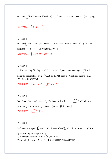Evaluate  $\int_C \overline{F} \cdot d\overline{r}$ , where  $\overline{F} = x\overline{i} + 6\overline{j} + yx\overline{k}$  and *C* is shown below. 【91 中原化 工】  $\rightarrow$ 

【參考解答】  $\left[\right]$   $\overline{F} \cdot d\overline{r} = -\frac{3}{5}$  $\int_C \overline{F} \cdot d\overline{r} = -\frac{3}{2}$ 

# 【習題 5】

Evaluate  $\oint_C zdx + xdy + ydz$ , where *C* is the trace of the cylinder  $x^2 + y^2 = 1$  in the plane  $y + z = 3$ . 【91 嘉義機雷(30%)】

 $\left[ \partial \hat{\mathcal{F}} \partial \hat{\mathcal{F}} \mathcal{F} \right] \Phi_c z dx + x dy + y dz = 2\pi$ 

# 【習題 6】

If 
$$
\vec{F} = (3x^2 - 6yz)\vec{i} + (2y + 3xz)\vec{j} + (1 + 4xyz^2)\vec{k}
$$
, evaluate line integral  $\int_c \vec{F} \cdot d\vec{r}$ 

along the straight lines from  $(0,0,0)$  to  $(0,0,1)$ , then to  $(0,1,1)$ , and then to  $(1,1,1)$ . 【91 淡江機械(15%)】

【參考解答】 $\int_c \vec{g} \cdot d\vec{r} = -6$ ,  $\int_c \vec{F} \cdot d\vec{r} = -3$  $\Rightarrow$   $\Rightarrow$ 

# 【習題 7】

Let  $\overline{F} = \vec{a}_x 2xy + \vec{a}_y x^2 + \vec{a}_z (z-1)$ . Evaluate the line integral  $\int_{(0,0,0)}^{(1,1,0)}$  $\int_{(0,0,0)}^{(1,1,0)} \overline{F} \cdot d\overline{\ell}$  along a parabola  $y = x^2$  on the *xy* plane. 【91 中山機電(10%)】 【參考解答】 $\int_{(0,0,0)}^{(1,1,0)}$  $\int_{(0,0,0)}^{(1,1,0)} \vec{F} \cdot d\vec{\ell} = 1$ 

# 【習題 8】

Evaluate the integral  $\int_{a}^{B}$  $\int_A^B \overrightarrow{F} \cdot d\overrightarrow{\ell}$ ,  $\overrightarrow{F} = 2xy\overrightarrow{i} + (x^2 - z^2)\overrightarrow{j} - 3xz^3\overrightarrow{k}$ ,  $A(0,0,0)$ ,  $B(2,1,3)$ by performing the integral along (1) line segment from *A* to  $C(2,1,0)$  to *B*. (2) straight line from *A* to *B* . 【91 海洋電機固態組(15%)】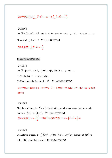$$
\left[\frac{1}{2} \frac{1}{2} \frac{1}{2} \frac{1}{2} \int_{AB} \overline{F} \cdot d\overline{\ell} = -50 \quad (2) \int_{AB} \overline{F} \cdot d\overline{\ell} = -\frac{79}{2}
$$

# 【習題 9】

Let  $\vec{F} = -\vec{i} + xyz \vec{j} - y^2 \vec{k}$ , and let *C* be given by  $x = t$ ,  $y = |t|$ ,  $z = 1$ ;  $t: -1 \rightarrow 1$ . Please find  $\int_C \overline{F} \cdot d\overline{r} = ?$  【91 成大製造(8%)】

【參考解答】  $\left[\right.\overline{F}\cdot d\overline{r}\right.=-\frac{4}{3}$  $\int_C \overline{F} \cdot d\overline{r} = -\frac{4}{3}$  $\rightarrow$ 

■ 與路徑無關之線積分

【習題 1】

Let  $\overline{F} = ( yze^{xyz} - 4x ) \hat{a}_x + ( xze^{xyz} + z ) \hat{a}_z$  for all *x*, *y* and *z*.

(1) Verify that *F* is conservative.

(2) Find a potential function for *F*  $\overline{\phantom{a}}$ . 【91 台科電機(15%)】

**【**參考解答】(1)存在φ,使得∇φ=*F*  $\overline{\phantom{a}}$ ,*F*  $\overline{\phantom{a}}$  $f{$  ⊜ <del>5</del> ∞  $f{B}$  (2)  $\phi = e^{xyz} - 2x^2 + yz + c$  為保 守位能

# 【習題 2】

Find the work done by  $\overrightarrow{F} = x^2 \overrightarrow{i} - 2yz \overrightarrow{j} + z \overrightarrow{k}$  in moving an object along the straight line from  $(1,1,1)$  to  $(4,4,4)$ . 【91 北科化工(15%)】

【參考解答】 $w=-\frac{27}{3}$ 2 *w* = −  $\frac{27}{4}$  , 本題 *F*  $\overline{F}$  不是保守場,∵w=∫ $\overline{F} \cdot d\overline{r} \neq \int d\phi$ 

# 【習題 3】

Evaluate the integral  $I = \int_c [(6xy^2 - y^3)dx + (6x^2y - 3xy^2)dy]$  from point (1,0) to point  $(3,2)$  along line segment. 【91 中興化工(8%)】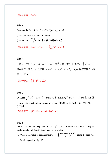# 【參考解答】 *I* = 84

# 習題 4

Consider the force field  $\vec{F} = y^2 \vec{i} + 2(xy + z) \vec{j} + 2y\vec{k}$ .

(1) Determine the potential function.

(2) Evaluate  $\int_{(1,1,1)}^{(2,2)}$  $(2,2,2)$  $\int_{(1,1,1)}^{(2,2,2)}\overline{F}\cdot d\overline{r}$ .【91 高科機械(20%)】

【參考解答】 $\phi = xy^2 + 2yz + c$  ,  $\int_{(1,1,1)}^{(2,2,2)}$  $\int_{(1,1,1)}^{(2,2,2)} \vec{F} \cdot d\vec{r} = 13$ 

#### 習題 5

空間有一力場 $\overline{F}(x, y, z) = y\overline{i} + z\overline{j} + x\overline{k}$  ,求 $\overline{F}$  沿曲線 $C$ 所作的功 $W = \oint_C \overline{F} \cdot d\overline{r} =$  $\rightarrow$  (  $\rightarrow$  $\oint_C \overline{F} \cdot d\overline{r} = ?$ 其中封閉曲線  $C$  由右式定義  $x + y = 2 + x^2 + y^2 + z^2 = 2(x + y)($ 本題請忽略  $C$  的方 向,只求 | W | )

【参考解答】 $\int_C \overline{F} \cdot d\overline{r} = 2\sqrt{2\pi}$  $\rightarrow$   $\rightarrow$ 

#### 習題 6

Evaluate  $\int \overline{F} \cdot d\overline{R}$ , where  $\overline{F} = zy \sin(xy) \overline{i} + zx \sin(xy) \overline{j} + (2e^z - \cos(xy)) \overline{k}$ , and  $\overline{R}$  $\overline{\phantom{a}}$ is the position vector along the curve *C* from  $(1,1,2)$  to  $(1,-1,6)$ . 【90 北科光電  $(10\%)$ 

【参考解答】  $\int \overline{F} \cdot d\overline{R} = -4 \cos 1 + 2(e^6 - e^2)$  $\overline{\phantom{a}}$   $\overline{\phantom{a}}$ 

# 習題 7

Let *C* be a path on the paraboloid  $x^2 + y^2 - z = 0$  from the initial point (1,0,1) to the terminal point  $(0,1,1)$ ; otherwise, *C* is arbitrary.

(1) What is the value of the line integral  $I = \int_C \frac{-ydx + xdy + zdz}{x^2 + y^2}$  $=\int_C \frac{-ydx + xdy + zdz}{x^2 + y^2}$  along the path *C* ? Is it independent of path?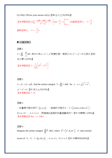(2) Why? (Prove your answer in(1).)  $[89 \div \pm \pm \times (19\%)]$ 

\n
$$
\left[ \frac{1}{2} \frac{1}{2} \int_C \frac{-y \, dx + x \, dy + z \, dz}{x^2 + y^2} = \left[ \tan^{-1} \frac{y}{x} + z \right]_{(1,0,1)}^{(0,1,1)} \quad (2) \frac{d}{dx} \mathbb{R} \left( \frac{y}{x} \right) \cdot I = \frac{\pi}{2} \, \text{where } \mathbb{R} \left( \frac{y}{x} \right) \text{ and } \mathbb{R} \left( \frac{y}{x} \right) \text{ and } \mathbb{R} \left( \frac{y}{x} \right) \text{ and } \mathbb{R} \left( \frac{y}{x} \right) \text{ and } \mathbb{R} \left( \frac{y}{x} \right) \text{ and } \mathbb{R} \left( \frac{y}{x} \right) \text{ and } \mathbb{R} \left( \frac{y}{x} \right) \text{ and } \mathbb{R} \left( \frac{y}{x} \right) \text{ and } \mathbb{R} \left( \frac{y}{x} \right) \text{ and } \mathbb{R} \left( \frac{y}{x} \right) \text{ and } \mathbb{R} \left( \frac{y}{x} \right) \text{ and } \mathbb{R} \left( \frac{y}{x} \right) \text{ and } \mathbb{R} \left( \frac{y}{x} \right) \text{ and } \mathbb{R} \left( \frac{y}{x} \right) \text{ and } \mathbb{R} \left( \frac{y}{x} \right) \text{ and } \mathbb{R} \left( \frac{y}{x} \right) \text{ and } \mathbb{R} \left( \frac{y}{x} \right) \text{ and } \mathbb{R} \left( \frac{y}{x} \right) \text{ and } \mathbb{R} \left( \frac{y}{x} \right) \text{ and } \mathbb{R} \left( \frac{y}{x} \right) \text{ and } \mathbb{R} \left( \frac{y}{x} \right) \text{ and } \mathbb{R} \left( \frac{y}{x} \right) \text{ and } \mathbb{R} \left( \frac{y}{x} \right) \text{ and } \mathbb{R} \left( \frac{y}{x} \right) \text{ and } \mathbb{R} \left( \frac{y}{x} \right) \text{ and } \mathbb{R} \left( \frac{y}{x} \right) \text{ and } \mathbb
$$

# ■ 向量面積分

習題 1

*dA I* =  $\iint_S$   $\frac{xy}{z} dA$  ,其中 *S* 為  $z = x^2 + y^2$ 對應於第一象限之 4 ≤  $x^2 + y^2$  ≤ 9 之部分。【90 淡江環工(25%)】

\n
$$
I \circ \text{B}
$$
\n \quad\n \text{I} = \frac{1}{24} \left[ 37^{\frac{3}{2}} - 17^{\frac{3}{2}} \right]\n

# 習題 2

 $\vec{v} = y\vec{i} - z\vec{j} + yz\vec{k}$ , find the surface integral  $I = \iint_S \vec{v} \cdot \vec{n} dA$  for  $s : x = \sqrt{y^2 + z^2}$ ,  $y^2 + z^2 \leq 1$ .【91 成大土木(15%)】 【參考解答】 *I* = 0

# 習題 3

一向量場方程式為 $\overline{F}$  =  $\left[ x, y, z \right]$ 。一曲面的方程式 $S$  :  $\overline{r}$  =  $\left[ u\cos v, u\sin v, u^2 \right]$  ,  $0 \le u \le 4$ ,  $-\pi \le v \le \pi$  。問通過此曲面的向量通量爲何?【91 中興環工(10%)】 【參考解答】flux *I* = 128<sup>π</sup>

# 習題 4

Integrate the surface integral  $\iint_{S} \vec{F} \cdot \vec{n} dA$ , where  $\vec{F} = \left[ e^{y}, 0, z e^{x} \right]$ ,  $\vec{n}$ : units normal vector of *S*, *S* :  $\vec{r} = [u, 2u, v], -1 \le u \le 1, 0 \le v \le 3$ . 【91 中興材料(20%)】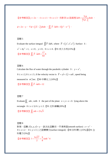\n
$$
\left[ \frac{1}{2} \cdot \frac{1}{2} \cdot \frac{1}{2} \cdot \frac{1}{2} \cdot \frac{1}{2} \cdot \frac{1}{2} \cdot \frac{1}{2} \cdot \frac{1}{2} \cdot \frac{1}{2} \cdot \frac{1}{2} \cdot \frac{1}{2} \cdot \frac{1}{2} \cdot \frac{1}{2} \cdot \frac{1}{2} \cdot \frac{1}{2} \cdot \frac{1}{2} \cdot \frac{1}{2} \cdot \frac{1}{2} \cdot \frac{1}{2} \cdot \frac{1}{2} \cdot \frac{1}{2} \cdot \frac{1}{2} \cdot \frac{1}{2} \cdot \frac{1}{2} \cdot \frac{1}{2} \cdot \frac{1}{2} \cdot \frac{1}{2} \cdot \frac{1}{2} \cdot \frac{1}{2} \cdot \frac{1}{2} \cdot \frac{1}{2} \cdot \frac{1}{2} \cdot \frac{1}{2} \cdot \frac{1}{2} \cdot \frac{1}{2} \cdot \frac{1}{2} \cdot \frac{1}{2} \cdot \frac{1}{2} \cdot \frac{1}{2} \cdot \frac{1}{2} \cdot \frac{1}{2} \cdot \frac{1}{2} \cdot \frac{1}{2} \cdot \frac{1}{2} \cdot \frac{1}{2} \cdot \frac{1}{2} \cdot \frac{1}{2} \cdot \frac{1}{2} \cdot \frac{1}{2} \cdot \frac{1}{2} \cdot \frac{1}{2} \cdot \frac{1}{2} \cdot \frac{1}{2} \cdot \frac{1}{2} \cdot \frac{1}{2} \cdot \frac{1}{2} \cdot \frac{1}{2} \cdot \frac{1}{2} \cdot \frac{1}{2} \cdot \frac{1}{2} \cdot \frac{1}{2} \cdot \frac{1}{2} \cdot \frac{1}{2} \cdot \frac{1}{2} \cdot \frac{1}{2} \cdot \frac{1}{2} \cdot \frac{1}{2} \cdot \frac{1}{2} \cdot \frac{1}{2} \cdot \frac{1}{2} \cdot \frac{1}{2} \cdot \frac{1}{2} \cdot \frac{1}{2} \cdot \frac{1}{2} \cdot \frac{1}{2} \cdot \frac{1}{2} \cdot \frac{1}{2} \cdot \frac{1}{2} \cdot \frac{1}{2} \cdot \frac{1}{2} \cdot \frac{1}{2} \cdot \frac{1}{2} \cdot \frac{1}{2} \cdot \frac{1}{2} \
$$

 $\phi = 2x - y$  ,  $\nabla \phi = (\overline{2i} - \overline{j})dxdz$  ,  $\iint_{S} \overline{F} \cdot \overline{n}dA = 3(e^{2} - e^{-2})$  .

# 習題 5

Evaluate the surface integral  $\iint \overline{F} \cdot \overline{n} dA$ , where  $\overline{F} = (y^3, x^3, z^3)$ . Surface *S* :  $x^2 + 4y^2 = 1$ ,  $x \ge 0$ ,  $y \ge 0$ ,  $0 \le z \le h$ .【91 成大水利(15%)】 【參考解答】 $\left[\right]$   $\overline{F} \cdot \overline{n} dA = \frac{17}{4}$  $\iint_{S} \overrightarrow{F} \cdot \overrightarrow{n} dA = \frac{17}{64} h$ 

#### 習題 6

Calculate the flux of water through the parabolic cylinder  $S: y = x^2$ ,  $0 \le x \le 2, 0 \le z \le 3$ , if the velocity vector is  $\overrightarrow{F} = y\overrightarrow{i} + 2\overrightarrow{j} + x\overrightarrow{x}k$ , speed being measured in  $m^3$ /sec.【90 中興化工(10%)】

【参考解答】 $\iint_S \overline{F} \cdot \overline{n} dA = 12$ 

# 習題 7

Evaluate  $\iint_S z ds$ , with *S* the part of the plane  $x + y + z = 6$  lying above the rectangle 0≤x≤3,0≤y≤2.【91 北科車輛(20%)】

【參考解答】∬<sub>s</sub> zds = 21√3

習題 8 對某一函數  $f(x, y, z) = y$ , 試求此函數在一平滑表面(smooth surface)  $z = x^2$ , 0≤x≤2, 0≤y≤3上之面積積分(surface integral)。【90屏科環工(15%)】【91 台 科電子(5%)】

[
$$
d^{\circ}
$$
 $\frac{1}{2}$ ] $I = \frac{9\sqrt{17}}{2} + \frac{9}{8} \sinh^{-1} 4$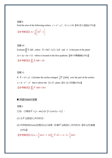Find the area of the following surface  $z = x^2 + y^2$ ,  $0 \le z \le 10$ .【89 成大造船(17%)】

$$
\left[\frac{1}{2} \frac{1}{\sqrt{3}} \frac{1}{\sqrt{3}} \frac{1}{\sqrt{3}} \frac{1}{\sqrt{3}} \frac{1}{\sqrt{3}} \frac{1}{\sqrt{3}} \frac{1}{\sqrt{3}} \frac{1}{\sqrt{3}} \frac{1}{\sqrt{3}} \frac{1}{\sqrt{3}} \frac{1}{\sqrt{3}} \frac{1}{\sqrt{3}} \frac{1}{\sqrt{3}} \frac{1}{\sqrt{3}} \frac{1}{\sqrt{3}} \frac{1}{\sqrt{3}} \frac{1}{\sqrt{3}} \frac{1}{\sqrt{3}} \frac{1}{\sqrt{3}} \frac{1}{\sqrt{3}} \frac{1}{\sqrt{3}} \frac{1}{\sqrt{3}} \frac{1}{\sqrt{3}} \frac{1}{\sqrt{3}} \frac{1}{\sqrt{3}} \frac{1}{\sqrt{3}} \frac{1}{\sqrt{3}} \frac{1}{\sqrt{3}} \frac{1}{\sqrt{3}} \frac{1}{\sqrt{3}} \frac{1}{\sqrt{3}} \frac{1}{\sqrt{3}} \frac{1}{\sqrt{3}} \frac{1}{\sqrt{3}} \frac{1}{\sqrt{3}} \frac{1}{\sqrt{3}} \frac{1}{\sqrt{3}} \frac{1}{\sqrt{3}} \frac{1}{\sqrt{3}} \frac{1}{\sqrt{3}} \frac{1}{\sqrt{3}} \frac{1}{\sqrt{3}} \frac{1}{\sqrt{3}} \frac{1}{\sqrt{3}} \frac{1}{\sqrt{3}} \frac{1}{\sqrt{3}} \frac{1}{\sqrt{3}} \frac{1}{\sqrt{3}} \frac{1}{\sqrt{3}} \frac{1}{\sqrt{3}} \frac{1}{\sqrt{3}} \frac{1}{\sqrt{3}} \frac{1}{\sqrt{3}} \frac{1}{\sqrt{3}} \frac{1}{\sqrt{3}} \frac{1}{\sqrt{3}} \frac{1}{\sqrt{3}} \frac{1}{\sqrt{3}} \frac{1}{\sqrt{3}} \frac{1}{\sqrt{3}} \frac{1}{\sqrt{3}} \frac{1}{\sqrt{3}} \frac{1}{\sqrt{3}} \frac{1}{\sqrt{3}} \frac{1}{\sqrt{3}} \frac{1}{\sqrt{3}} \frac{1}{\sqrt{3}} \frac{1}{\sqrt{3}} \frac{1}{\sqrt{3}} \frac{1}{\sqrt{3}} \frac{1}{\sqrt{3}} \frac{1}{\sqrt{3}} \frac{1}{\sqrt{3}} \frac{1}{\sqrt{3}} \frac{1}{\sqrt{3}}
$$

# 習題 10

Evaluate  $\iint_{S} \vec{A} \cdot \vec{n} dS$ , where  $\vec{A} = 18z\vec{i} - 12\vec{j} + 3y\vec{k}$  and *S* is that part of the plane  $2x+3y+6z = 12$  where is located in the first quadrant. 【89 中興機械(15%)】 【參考解答】 $\iint_S \overline{A} \cdot \overline{n} dS = 24$ 

# 習題 11

If  $\vec{F} = x\vec{i} + y\vec{j}$  Calculate the surface integral  $\int \vec{F} \cdot (\vec{n} dA)$  over the part of the surface  $z = 4 - x<sup>2</sup> - y<sup>2</sup>$  that is above the  $(X, Y)$  plane. 【91 淡江物理(15%)】 【参考解答】 $\iint_S \overline{F} \cdot \overline{n} dA = 16\pi$ 

# ■ 平面 Green's 定理

習題 1

- 已知一力場為  $\overline{F}$  =  $(y-\sin(x)e^x)\overline{i}$  +  $(\cos 2y-x)\overline{j}$  ,
- (1) 求 $\overline{F}$  沿路徑 $\,$   $C_{\rm l}$ 所作的功。
- (2) 利用格林(Green)定理及(1)之結果,計算 *F*  $\overline{\phantom{a}}$  $\triangle$ 路徑 $\mathit{C}_2$ 所作的功。【90 台科營建 (15%)】

[
$$
d(\frac{1}{2}+\frac{1}{2})
$$
 (1)  $w_1 = \frac{1}{2}\sin 2 - 1$  (2)  $\int_{C_2} \vec{F} \cdot d\vec{r} = -\pi - 3 - \frac{1}{2}\sin 2$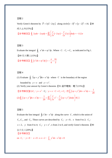Verify Green's theorem by  $\vec{F} = 3y\vec{i} - 2xy\vec{j}$  along circle  $(x-3)^2 + (y-2)^2 = 16$ . **[**89] 成大土木(15%)】

$$
\text{[}\text{#}\text{#}\text{#}\text{#}\text{ } \text{#}\text{ } \text{#}\text{ } \text{#}\text{ } 2xy \, dx - 2xy \, dy = \iint_R \left[ \frac{\partial}{\partial x} (-2xy) - \frac{\partial}{\partial y} (3y) \right] dx \, dy = -112\pi
$$

#### 習題 3

Evaluate the integral  $\oint_C x^2 dx + xy^2 dy$ . Where  $C: C_1 + C_2$  as indicated in Fig 1. 【89 交大環工(15%)】 【參考解答】 $\oint_C (x^2 dx + xy^2 dy) = -\frac{\pi}{4} + \frac{16}{3}$ 

# 習題 4

(1) Evaluate  $\oint_C (xy + y^2)dx + x^2dy$  where *C* is the boundary of the region

bounded by  $y = x$  and  $y = x^2$ .

(2) Verify your answer by Green's theorem.【91 逢甲電機、電子(15%)】

【參考解答 】(1)  $C_1$ :  $y = x^2$ ,  $C_2$ :  $y = x$ ,  $C = C_1 + C_2$ , 而  $\int_C (xy + y^2) dx + x^2 dy = -\frac{1}{20}$  $(2)$   $\oint_C (xy + y^2) dx + x^2 dy = -\frac{1}{20} = \iint_R \left| \frac{\partial}{\partial x} x^2 - \frac{\partial}{\partial y} (xy + y^2) \right|$  $c^{(1)}$  20  $J_{R}$  $xy + y^2 dx + x^2 dy = -\frac{1}{2}$   $\int \frac{dy}{dx} dx^2 - \frac{y^2}{2} (xy + y^2) dx dy$  $x$   $\partial y$  $\oint_C (xy + y^2) dx + x^2 dy = -\frac{1}{20} = \iint_R \left[ \frac{\partial}{\partial x} x^2 - \frac{\partial}{\partial y} (xy + y^2) dx dy \right] \vec{f}$ 

#### 習題 5

Evaluate the line integral  $\oint y^2 dx - x^2 dy$  along the curve *C*, which is the union of  $C_1, C_2$ , and  $C_3$ . These curves are described by  $C_1$ :  $y = 0$ ,  $x$  from 0 to 2;  $C_2$ :  $x = 2$ , *y* from 0 to 4;  $C_3$ :  $y = x^2$ , x from 2 to 0, and verify Green's theorem. [90 台大化工(20%)】 【參考解答】 on  $C_1$  :  $y=0$  ,  $x=0 \rightarrow x=2$  ,  $\int_{C_1} y^2 dx - x^2 dy = 0$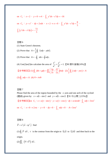on 
$$
C_2
$$
:  $x = 2$ ,  $y = 0 \rightarrow 4$ ,  $\int_{C_2} y^2 dx - x^2 dy = -16$   
\non  $C_3$ :  $y = x^2$ ,  $dy = 2xdx$ ,  $x = 2 \rightarrow x = 0$ ,  $\int_{C_3} y^2 dx - x^2 dy = \frac{8}{5}$ ,  
\n $\int_C (y^2 dx - x^2 dy) = -\frac{72}{5}$ 

習題 6 (1) State Green's theorem. (2) Prove that  $A = \frac{1}{2} \oint_C (xdy - ydx)$ . (3) Prove that  $A = -\oint_C t dx = \oint x dy$ . (4) Use(2)or(3)to calculate the area of  $\frac{x}{a^2} + \frac{y}{b^2} = 1$ 2 2 2  $+\frac{y}{2}$  = *b y a*  $\frac{x^2}{2} + \frac{y^2}{2^2} = 1$ .【90 雲科營建(10%)】 【参考解答】(1)  $\oint_C f dx + g dy = \iint_R \left( \frac{\partial g}{\partial x} - \frac{\partial f}{\partial y} \right) dx dy$  $\alpha$   $\partial y$  $\oint_C f dx + g dy = \iint_R \left( \frac{\partial g}{\partial x} - \frac{\partial f}{\partial y} \right) dxdy$  (2)  $\frac{1}{2} \oint_C (xdy - ysx) = A$  $(3) \oint_C x dy = A$  (4)  $A = \pi ab$ 

# 習題 7

Please find the area of the region bounded by the  $x$ -axis and one arch of the cycloid (擺線) given by:  $x = a(t - \sin t)$  and  $y = a(1 - \cos t)$ . 【91 中山環工(15%)】

【參考解答 】on  $C_1$ :  $x = a(t - \sin t)$ ,  $y = a(1 - \cos t)$ ,  $dy = a \sin t dt$ ,  $\int_{C_1} x dy = 3\pi a^2$ 

on  $C_2$  :  $x=0 \rightarrow 2\pi a$ ,  $y=0$ ,  $dy=0$ ,  $\int_{C_2} x dy = 0$ ,  $A=3\pi a^2$ 

# 習題 8

$$
\overrightarrow{F} = x^2 y \overrightarrow{i} - xy^2 \overrightarrow{j}
$$
 find

 $(1)\oint_C \overline{F} \cdot d\overline{r}$  $\rightarrow$  $\oint_C \overline{F} \cdot d\overline{r}$ , *c* is the contour from the origin to (1,1) to (2,0) and then back to the origin.

$$
(2)\iint_{S} \left(\nabla \times \overrightarrow{F}\right) \cdot d\overrightarrow{s}.
$$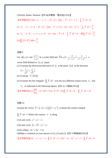(3)Verify Stokes' theorem.【90 海洋電機、電波組(13%)】

\n
$$
\begin{aligned}\n &\text{[$\mathscr{D}$} \oplus \mathscr{F} \oplus \mathscr{F} \oplus \mathscr{F} \oplus \mathscr{F} \oplus \mathscr{F} \end{aligned}
$$
\n

\n\n $C_1: y = x \cdot d\vec{r} = (\vec{i} + \vec{j})dx \cdot \vec{F} = x^3 \vec{i} - x^3 \vec{j} \cdot \int_{C_1} \vec{F} \cdot d\vec{r} = 0$ \n

\n\n $C_2: y = -x + 2 \cdot d\vec{r} = (\vec{i} - \vec{j})dx \cdot F = x^2(2 - x)\vec{i} - x(2 - x)^2 \vec{j} \cdot \int_{C_2} \vec{F} \cdot d\vec{r} = \frac{4}{3}$ \n

\n\n $C_3: y = 0 \cdot x = 2 \rightarrow x = 0 \cdot d\vec{r} = dx \vec{i} \cdot \vec{F} = 0 \cdot \int_{C_3} \vec{F} \cdot d\vec{r} = 0 \cdot \text{[$\mathscr{D}$} \oplus \mathscr{F} \oplus \mathscr{F} \oplus \mathscr{F} \oplus \mathscr{F} \oplus \mathscr{F} \oplus \mathscr{F} \oplus \mathscr{F} \oplus \mathscr{F} \oplus \mathscr{F} \oplus \mathscr{F} \oplus \mathscr{F} \oplus \mathscr{F} \oplus \mathscr{F} \oplus \mathscr{F} \oplus \mathscr{F} \oplus \mathscr{F} \oplus \mathscr{F} \oplus \mathscr{F} \oplus \mathscr{F} \oplus \mathscr{F} \oplus \mathscr{F} \oplus \mathscr{F} \oplus \mathscr{F} \oplus \mathscr{F} \oplus \mathscr{F} \oplus \mathscr{F} \oplus \mathscr{F} \oplus \mathscr{F} \oplus \mathscr{F} \oplus \mathscr{F} \oplus \mathscr{F} \oplus \mathscr{F} \oplus \mathscr{F} \oplus \mathscr{F} \oplus \mathscr{F} \oplus \mathscr{F} \oplus \mathscr{F} \oplus \mathscr{F} \oplus \mathscr{F} \oplus \mathscr{F} \oplus \mathscr{F} \oplus \mathscr{F} \oplus \mathscr{F} \oplus \mathscr{F} \oplus \mathscr{F} \oplus \mathscr$ 

#### 習題 9

Let  $\phi(x, y) = \tan^{-1} \left| \frac{y}{x} \right|$ ⎠  $\left(\frac{y}{x}\right)$ ⎝  $=$  tan<sup>-1</sup> *x*  $\phi(x, y) = \tan^{-1}\left(\frac{y}{x}\right)$  be a scalar field and  $\vec{F}(x, y) = \frac{-y}{2}i + \frac{x}{2}i + \frac{y}{2}i$  $x^2 + y$  $\vec{i} + \frac{x}{2}$  $\vec{F}(x, y) = \frac{-y}{x^2 + y^2}\vec{i} + \frac{x}{x^2 + y^2}$ +  $=\frac{-y}{2}, \frac{y}{2}, \frac{x}{2}, \frac{z}{2}, \frac{z}{2}$ vector field defined in  $(x, y)$  plane.

(1) Evaluate the directional derivative of  $\phi$  at the point (1,1) in the direction

$$
\vec{n} = \frac{1}{\sqrt{2}}\vec{i} + \frac{1}{\sqrt{2}}\vec{j}
$$

(2) Evaluate  $\nabla \times (\nabla \phi)$ .

(3) Evaluate the line integrals  $\oint_C \overline{F} \cdot d\overline{r}$  $\rightarrow$  $\oint_C \overline{F} \cdot d\overline{r}$  over the two different closed curves  $C_1$  and

 $C_2$  as indicated in the following figures. 【90 台大機械(10%)】

【參考解答】(1) $\frac{d\phi}{d}$  = 0 *n*  $\left. \frac{d\phi}{ds} \right|_{\vec{n}} = 0 \quad (2) \nabla \times \nabla \phi = \nabla \times \vec{F}$  $(3) \oint_{C_1} \vec{F} \cdot d\vec{r} = 0 \quad \oint_{C_2} \vec{F} \cdot d\vec{r} = 2\pi$ 

# 習題 10

Assume the vector  $\vec{F} = (-y\vec{i} + x\vec{j})/(x^2 + y^2)$ , evaluate the contour integral

 $\oint_C \overline{F} \cdot d\overline{s} =$  $\rightarrow$  $\oint_C \overline{F} \cdot d\overline{s} = ?$  Where the contour *C* is along

- (1)A unit circle  $x^2 + y^2 = 1$ .
- $(2)$ A unit circle  $(x-2)^2 + y^2 = 1$ .
- (3) An ellipse  $5x^2 + 6y^2 = 14$

(4)Make a comment on your answer in  $(1)$ ,  $(2)$  and  $(3)$ . 【90 中興機械 $(20%)$ 】

【 参考解答 】(1)  $C: x^2 + y^2 = 1 \cdot \oint_C \overline{F} \cdot d\overline{r} = 2$  $\oint_C \vec{F} \cdot d\vec{r} = 2$  (2)  $C : (x-2)^2 + y^2 = 1 \cdot \oint_C \vec{F} \cdot d\vec{r} = 0$  $\Rightarrow$   $\Rightarrow$  $\oint$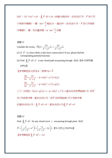$(3)$ *C* :  $5x^2 + 6y^2 = 14$   $\rightarrow \oint_C \overline{F} \cdot d\overline{r} = 2\pi$  $\rightarrow$   $\rightarrow$  $\oint_{\cal C} \overline F \cdot d\overline r = 2\pi$  (4)當(1)與(3)中, $\big(0,0\big)$ 在 $C$ 內, $\overline F$ 在 $C$ 內 不為保守場繞*C* 一圈,tan<sup>-1 <u>y</u></sup> *x*  $\bar{\gamma}^{-1}\frac{y}{\pm}$ 增加2π,當(2)中,(0,0)在 *C* 外, *F* 在 *C* 內為保 守場繞 $C$ 一圈,作功量爲零,or tan<sup>-ı y</sup> *x* −1<u>!</u>沒變

習題 11

Consider the vector,  $F(t) = \frac{2x}{x^2 + 2} e_x + \frac{2y}{x^2 + 2} e_y$  $x^2 + y$  $\vec{e}_x + \frac{2y}{2}$  $\vec{F}(t) = \frac{2x}{x^2 + y^2} \vec{e}_x + \frac{2y}{x^2 + y^2}$ +  $=\frac{2x}{x^2+y^2}e_x +$ 

- (1) If  $\overline{F}$  is a force field, is this force conservative? If yes, please find the corresponding potential function.
- (2) Find  $\oint_C \overline{F} \cdot d\overline{r}$  $\rightarrow$   $\rightarrow$  $\varphi_{c}\overline{F}\cdot d\overline{r}$  ,  $C$  is any closed path not passing through  $\; (0,0)$ .【90 中原物理  $(20\%)$ ]

【參考解答】(1)存在φ ,使得∇φ = *F*  $\overline{\phantom{a}}$ 

$$
\frac{\partial \phi}{\partial x} = \frac{2x}{x^2 + y^2} , \quad \phi = \ln(x^2 + y^2) + h(y)
$$

$$
\frac{\partial \phi}{\partial y} = \frac{2y}{x^2 + y^2} , \quad \phi = \ln(x^2 + y^2) + g(x)
$$

上下二式相比, $h(y)$ = $g(x)$ = $c \cdot \phi$ =ln $\left(x^{2}+y^{2}\right)$ + $c$  當 $(0,0)$ 在封閉曲線 $c$  外,則  $\overline{F}$  $\overline{\phantom{a}}$ 

 $\overline{\text{\textsterling}}\,c$ 內為保守場;當 $(0,\!0)$ 在 $c$ 內,則  $F$  $\overline{\phantom{a}}$ 在封閉曲線*c* 內不為保守場

 $(2)$ 當 $(0,0)$ 在*c* 外,  $\oint_C \overline{F} \cdot d\overline{r} = 0$  $\rightarrow$   $\rightarrow$  $\oint_{C} \overline{F} \cdot d\overline{r} = 0$  ;當  $(0,0)$ 在  $c$  內 $\oint_{C} \overline{F} \cdot d\overline{r} = 0$  $\rightarrow$   $\rightarrow$  $\oint$ 

#### 習題 12

Find  $\oint_C \overline{F} \cdot d\overline{r}$  $\rightarrow$   $\rightarrow$  $\oint_C \overline{F} \cdot d\overline{r}$  for any closed curve *c* not passing through point  $(0,0)$  $\vec{F} = \left(\frac{y}{x^2 + y^2} + x^2\right)\vec{i} + \left(\frac{-x}{x^2 + y^2} - 2y\right)\vec{j}$ .【91 北科土木(25%)】  $\left[ \frac{1}{2} \frac{1}{\sqrt{2\pi}} \frac{1}{\sqrt{2\pi}} \right]$   $\oint_C \overline{F} \cdot d\overline{r} = -2\pi$  $\overline{\phantom{a}}$   $\overline{\phantom{a}}$  $\oint$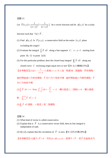Let 
$$
\overrightarrow{F}(x, y) = \frac{1}{(x+y)^2} \overrightarrow{i} + \frac{1}{(x+y)^2} \overrightarrow{j}
$$
 be a vector function and let  $\phi(x, y)$  be a scalar

function such that  $\nabla \phi = \overline{F}$ .

- (1) Find  $\phi(x, y)$ . Is  $\overline{F}(x, y)$  a conservative field on the entire  $(x, y)$  plane excluding the origin?
- (2) Evaluate the integral  $\int_C \overline{F} \cdot d\overline{r}$  along a line segment *C*:  $x y = 1$  starting from point  $(0,-1)$  to point  $(1,0)$ .
- (3) For this particular problem, does the closed loop integral  $\oint_C \overline{F} \cdot d\overline{r}$  $\rightarrow$  $\oint_C \overline{F} \cdot d\overline{r}$  along any closed curve *C* enclosing origin equal zero or not?【91 台大機械(15%)】

$$
[
$$

$$
[
$$
 
$$
\\
$$
 
$$
[
$$
 
$$
\\
$$
 
$$
[
$$
 
$$
2] (1) \phi = -\frac{1}{x+y} + c
$$
 
$$
[
$$
 
$$
[
$$
 
$$
2] (1) \phi = -\frac{1}{x+y} + c
$$
 
$$
[
$$
 
$$
[
$$
 
$$
2] (1) \phi = -\frac{1}{x+y} + c
$$
 
$$
[
$$
 
$$
[
$$
 
$$
2] (1) \phi = -\frac{1}{x+y} + c
$$
 
$$
[
$$
 
$$
[
$$
 
$$
2] (1) \phi = -\frac{1}{x+y} + c
$$
 
$$
[
$$
 
$$
[
$$
 
$$
3] (1) \phi = -\frac{1}{x+y} + c
$$
 
$$
[
$$
 
$$
[
$$
 
$$
4] (1) \phi = -\frac{1}{x+y} + c
$$
 
$$
[
$$
 
$$
[
$$
 
$$
4] (1) \phi = -\frac{1}{x+y} + c
$$
 
$$
[
$$
 
$$
[
$$
 
$$
4] (1) \phi = -\frac{1}{x+y} + c
$$
 
$$
[
$$
 
$$
[
$$
 
$$
4] (1) \phi = -\frac{1}{x+y} + c
$$
 
$$
[
$$
 
$$
[
$$
 
$$
4] (1) \phi = -\frac{1}{x+y} + c
$$
 
$$
[
$$
 
$$
[
$$
 
$$
4] (1) \phi = -\frac{1}{x+y} + c
$$
 
$$
[
$$
 
$$
4] (1) \phi = -\frac{1}{x+y} + c
$$
 
$$
[
$$
 
$$
4] (1) \phi = -\frac{1}{x+y} + c
$$
 
$$
[
$$
 
$$
4] (1) \phi = -\frac{1}{x+y} + c
$$
 
$$
[
$$
 
$$
4] (1) \phi = -\frac{1}{x+y}
$$

 $\not\equiv$ 封閉曲線 $\,$  C 內有奇異點, $\overline{F}$  在 C 內不爲保守場,當封閉曲線 C 內無奇異點, $\overline{F}$ 在*C* 內為保守場。

$$
(2)\int_C \overline{F} \cdot d\overline{r} = \infty \text{ Note } \int_{-1}^1 \frac{1}{t^2} dt \neq -\frac{1}{t}\Big|_{-1}^1 = -2 \cdot \text{#/R} \mathbb{R} \mathbb{R}
$$

数,
$$
\int_{(0,-1)}^{(1,0)} \overline{F} \cdot d\overline{r} = -2
$$
\n
$$
(3) ∲<sub>C</sub> \overline{F} \cdot d\overline{r}  \n   \n  $① \cdot  \n   \n  $① \cdot  \n   \n   \n   \n *②*  \n  $① \cdot  \n   \n   \n   \n *②*  \n  $② \cdot  \n   \n   \n   \n  $② \cdot  \n   \n   \n  $② \cdot  \n   \n   \n   \n  $② \cdot  \n   \n  $② \cdot  \n   \n   \n  $② \cdot  \n   \n  $② \cdot  \n   \n  $② \cdot  \n   \n  $② \cdot  \n   \n  $② \cdot  \n   \n  $② \cdot  \n   \n  $② \cdot  \n   \n  $② \cdot  \n   \n  $② \cdot  \n   \n  $③ \cdot  \n   \n  $② \cdot  \n   \n  $② \cdot  \n   \n  $③ \cdot  \n   \n  $③ \cdot  \n   \n  $⑧ \cdot  \n   \n  $③ \cdot  \n   \n  $③ \cdot  \n   \n  $③ \cdot  \n   \n  $③$$$$$$$$$$$$$$$$$$$$$$$$$$$
$$

習題 14

- (1) What kind of vector is called conservative.
- (2) Explain that is  $\overline{F}$  is a conservative vector field, then its line integral is independent of oath.
- (3) By (2), explain that the circulation of *F*  $\overline{\phantom{a}}$ is zero.【91 北科冷凍(18%)】

【參考解答】(1)當∇× $\overline{F} = 0$ ,存在 $\phi = \phi(x, y, z)$ ,使得∇= $\overline{F}$ ,若 *F* 在區域 *R* 內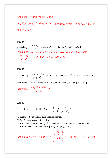$\mathcal{R}$ 有奇異點, $\overline{F}$ 在區域  $R$ 內爲保守場。

(2)當ア為保守場 $\int_a^b \overline{F}\cdot d\overline{r}$ = $\phi(b)$ − $\phi(a)$ 積分値與路徑無關,只和端點之 $\phi$ 値有關。  $(3)\oint_C \overline{F} \cdot d\overline{r} = 0$  $\rightarrow$  $\pmb{\varphi}$ 

#### 習題 15

Evaluate 
$$
\oint_C \frac{ydx - xdy}{x^2 + y^2}
$$
 where  $C: x^2 + y^2 = 1$ . [90  $\overline{\mathcal{K}} \times \overline{\mathcal{K}} \mathbb{Z} \times (15\%)$ ]

\n[ $\oint_C \overline{\mathcal{K}} \times \overline{\mathcal{K}} \times \mathbb{Z} \times \mathbb{Z} \times \mathbb{Z} \times \mathbb{Z} \times \mathbb{Z} \times \mathbb{Z} \times \mathbb{Z} \times \mathbb{Z} \times \mathbb{Z} \times \mathbb{Z} \times \mathbb{Z} \times \mathbb{Z} \times \mathbb{Z} \times \mathbb{Z} \times \mathbb{Z} \times \mathbb{Z} \times \mathbb{Z} \times \mathbb{Z} \times \mathbb{Z} \times \mathbb{Z} \times \mathbb{Z} \times \mathbb{Z} \times \mathbb{Z} \times \mathbb{Z} \times \mathbb{Z} \times \mathbb{Z} \times \mathbb{Z} \times \mathbb{Z} \times \mathbb{Z} \times \mathbb{Z} \times \mathbb{Z} \times \mathbb{Z} \times \mathbb{Z} \times \mathbb{Z} \times \mathbb{Z} \times \mathbb{Z} \times \mathbb{Z} \times \mathbb{Z} \times \mathbb{Z} \times \mathbb{Z} \times \mathbb{Z} \times \mathbb{Z} \times \mathbb{Z} \times \mathbb{Z} \times \mathbb{Z} \times \mathbb{Z} \times \mathbb{Z} \times \mathbb{Z} \times \mathbb{Z} \times \mathbb{Z} \times \mathbb{Z} \times \mathbb{Z} \times \mathbb{Z} \times \mathbb{Z} \times \mathbb{Z} \times \mathbb{Z} \times \mathbb{Z} \times \mathbb{Z} \times \mathbb{Z} \times \mathbb{Z} \times \mathbb{Z} \times \mathbb{Z} \times \mathbb{Z} \times \mathbb{Z} \times \mathbb{Z} \times \mathbb{Z} \times \mathbb{Z} \times \mathbb{Z} \times \mathbb{Z} \times \mathbb{Z} \times \mathbb{Z} \times \mathbb{Z} \times \mathbb{Z} \times \mathbb{Z} \times \mathbb{Z} \times \mathbb{Z} \times \mathbb{Z} \times \mathbb{Z} \times \mathbb{Z} \times \$ 

#### 習題 16

Calculate  $\int_C \frac{y \, dx + xy}{(x^2 + y^2)^2}$  $3 J_{21}$   $\ldots$   $^{2}$  $x^2 + y$  $y^3 dx + xy^2 dy$  $\int_C \frac{-y^3 dx + xy^2 dy}{(x^2 + y^2)^2}$ , where *C* is the ellipse  $4x^2 + y^2 = 4$ . Can we apply

the Green's theorem to calculate the integration, why? 【90 中原土木(15%)】

【參考解答】 ( ) 3 2 <sup>2</sup> *<sup>C</sup>* 2 2 *y dx xy dy x y* π − + <sup>=</sup> <sup>+</sup> ∫

# 習題 17

A force field is described by 
$$
\overrightarrow{F} = -\frac{y}{(x^2 + y^2)}\overrightarrow{i} + \frac{x}{(x^2 + y^2)}\overrightarrow{j}
$$
.

- (1) Express  $\overline{F}$  in circular cylindrical coordinate.
- (2) Is  $\overline{F}$  a conservative force field?  $\tilde{ }$
- (3) Calculate the work done by *F* in encircling the unit circle (centering at the origin) once counterclockwise.【91 台師大機電(15%)】

\n
$$
\begin{aligned}\n \left[ \frac{\partial \phi}{\partial x} + \frac{\partial \phi}{\partial y} \right] &= \frac{1}{r} \frac{\partial}{\partial y} \\
 \left[ \frac{\partial \phi}{\partial x} + \frac{\partial \phi}{\partial y} \right] &= 0 \\
 \frac{\partial \phi}{\partial y} &= 0\n \end{aligned}
$$
\n

\n\n $\begin{aligned}\n \frac{\partial \phi}{\partial x} &= \frac{\partial \phi}{\partial y} \\
 \frac{\partial \phi}{\partial y} &= 0\n \end{aligned}$ \n

\n\n $\frac{\partial \phi}{\partial y} = 0 \cdot \frac{\partial \phi}{\partial y} = 0 \cdot \frac{\partial \phi}{\partial y} = 0 \cdot \frac{\partial \phi}{\partial y} = 0$ \n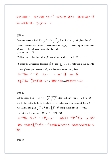$\overline{\text{t}}$ 封閉曲線 $\textit{c}$ 內,具有奇異點 $\left( 0,\!0 \right)$ , $\textit{F}$  $\overline{\phantom{a}}$ 不為保守場,當(0,0)在封閉曲線*c* 外,*F*  $\overline{\phantom{a}}$ 在 $c$ 內為保守場。 (3) $\oint_{\cal C} \overline{F} \cdot d\overline{r} = 2\pi$  $\rightarrow$  $\pmb{\varphi}$ 

#### 習題 18

Consider a vector field  $\vec{F} = \frac{x}{x^2 + y^2} \vec{i} + \frac{y}{x^2 + y^2} \vec{j}$  $x^2 + y^2$   $x^2 + y$  $=\frac{\lambda}{2}i+$  $+ y^2 + x^2 + y^2$  $\overrightarrow{F} = \frac{x}{2}, \overrightarrow{i} + \frac{y}{2}, \overrightarrow{j}$  defined in  $(x, y)$  plane. Let *C* denote a closed circle of radius 1 centered at the origin, *D* be the region bounded by *C* , and *n* the unit vector normal to the circle.  $\overline{a}$ (1) Evaluate  $\nabla \cdot \vec{F}$ .

(2) Evaluate the line integral  $\oint_C \overline{F} \cdot \overline{n} ds$  $\overline{\phantom{a}}$  $\oint_C \overline{F} \cdot \overline{n} ds$  along the closed circle *C*.

(3) Does the Divergence Theorem  $\oint_C \overline{F} \cdot n ds = \oiint_D \nabla \cdot \overline{F} dA$  hold true in this case? Is not, please give the reason why the theorem does not apply here.

 $\left[\frac{1}{2} \circ \frac{1}{2} \circ \frac{1}{2} \circ \frac{1}{2} \circ \frac{1}{2} \circ \frac{1}{2} \circ \frac{1}{2} \circ \frac{1}{2} \circ \frac{1}{2} \circ \frac{1}{2} \circ \frac{1}{2} \circ \frac{1}{2} \circ \frac{1}{2} \circ \frac{1}{2} \circ \frac{1}{2} \circ \frac{1}{2} \circ \frac{1}{2} \circ \frac{1}{2} \circ \frac{1}{2} \circ \frac{1}{2} \circ \frac{1}{2} \circ \frac{1}{2} \circ \frac{1}{2} \circ \frac{1}{2} \circ \$  $\overline{\phantom{a}}$  $\pmb{\varphi}$ 

(3) $\oint_{\cal C} \overline F \cdot \overline n ds \neq \iint_{\cal S} \bigl( \nabla \cdot \overline F \bigr) dA \; \cdot \;$ ∵在 $c$ 內有奇異點 $\bigl( 0, 0 \bigr)$ 散度定理不成立

#### 習題 19

Let the vector field  $\overline{F}(x, y, z) = \frac{xi - zj + yk}{x^2 + y^2 + z^2}$  $\overrightarrow{F}(x, y, z) = \frac{x\overrightarrow{i} - z\overrightarrow{j} + y\overrightarrow{k}}{x^2 + y^2}$ , the position vector  $\overrightarrow{r} = x\overrightarrow{i} + y\overrightarrow{j} + z\overrightarrow{k}$ , and the line paths *C* be on the plane  $x = 0$  and extend from the point  $(0, -2, 0)$ . Are the line integrals  $\int_{C} \overrightarrow{F} \cdot d\overrightarrow{r}$  and  $\int_{C} \overrightarrow{F} \times d\overrightarrow{r}$  independent of path? Why? Evaluate the line integrals.  $[91 \div \pm \pm \pm (18\%)]$ 

【參考解答】當*C* 在上半平面 *S*<sub>*C</sub> F* · *dr* = π ,當 *C* 在下半平面 *S*<sub>*C*</sub> F · *dr* = −π ,積分</sub> 値與路徑有關, $\int_{\mathcal{C}}\overline{F}\times d\overline{r}$  = −ln 2 $\overline{i}$  積分値與路徑無關,∵沒有帶入路徑參數即可 積出

習題 20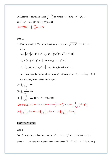Evaluate the following integrals  $\oint$   $\frac{\partial w}{\partial x}$  ds *n w*  $\oint_C \frac{\partial w}{\partial n} ds$  where,  $w = 3x^2y - y^3 + y^2$ , *c*:  $25x^2 + y^2 = 25$ .【87 成大土木(20%)】 【参考解答】 $\oint_c \frac{\partial w}{\partial n} ds = 10$ *n* π  $\oint_{C} \frac{\partial w}{\partial n} ds =$ 

習題 21

(1) Find the gradient  $\nabla \phi$  of the function  $\phi = \ln r$ ,  $r = \sqrt{x^2 + y^2}$ , if in the *xy* plane

$$
C_1 = [(x, y) (x - 2)^2 + y^2 = 1], \quad D_1 = [(x, y) (x - 2)^2 + y^2 < 1]
$$
\n
$$
C_2 = [(x, y) (x^2 + y^2 = 1)], \quad D_2 = [(x, y) (x^2 + y^2 < 1]
$$
\n
$$
C_3 = [(x, y) (x - 1)^2 + y^2 = 1], \quad D_3 = [(x, y) (x - 1)^2 + y^2 < 1]
$$

 $\vec{n}$  = the outward unit normal vector on *C<sub>i</sub>* with respect to *D<sub>i</sub>*,  $\vec{r} = x\vec{i} + y\vec{j}$  find the positively-oriented contour integral.

(2) 
$$
\oint_{C_1} \frac{\vec{r}}{2\pi r^2} \cdot \vec{n} ds
$$
  
\n(3)  $\oint_{C_2} \frac{\vec{r}}{2\pi r^2} \cdot \vec{n} ds$   
\n(4)  $\oint_{C_3} \frac{\vec{r}}{2\pi r^2} \cdot \vec{n} ds$  [87  $\Leftrightarrow$   $\pm \pm \pi (20\%)$ ]  
\n[ $\oint \frac{\vec{r}}{\oint \vec{B} \vec{B} \vec{B}} \vec{B} \vec{B} \vec{B}$  ]  $(1) \phi = \ln r$ ,  $\nabla \phi = \nabla \ln r = \frac{1}{r} \nabla r = \frac{\vec{r}}{r^2}$ ,  $\nabla \phi = \frac{1}{x^2 + y^2} [\vec{x} + y\vec{j}]$   
\n(2)  $\oint_{C_1} \frac{\vec{r}}{2\pi r^2} \cdot \vec{n} ds = 0$  (3)  $\oint_{C_2} \frac{\vec{r}}{2\pi r^2} \cdot \vec{n} ds = 1$  (4)  $\oint_{C_3} \frac{\vec{r}}{2\pi r^2} \cdot \vec{n} ds = \frac{1}{2}$ 

#### ■ GAUSS 散度定理

習題 1

Let *D* be the hemisphere bounded by  $x^2 + y^2 + (z-1)^2 = 9$ ,  $1 \le z \le 4$ , and the plane  $z = 1$ , find the flux over this hemisphere when  $\vec{F} = x\vec{i} + y\vec{j} + (z-1)\vec{k}$ . [90 台科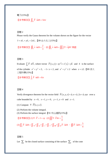# 電子(15%)】

# 【参考解答】 $\iint_D \overline{F} \cdot \overline{n} dA = 54\pi$

# 習題 2

Please verify the Gauss theorem for the volume shown on the figure for the vector  $\vec{v} = x\vec{e}_x + y\vec{e}_y + 2z\vec{e}_z$ . **[**89 台大化工(15%)】

【參考解答】 $\oint \vec{v} \cdot \vec{n} dA = \frac{2}{3}$  $\oiint_S \vec{v} \cdot \vec{n} dA = \frac{2}{3}$ , 故 $\oiint_S \vec{v} \cdot \vec{n} dA = \iiint_V (\nabla \cdot \vec{v}) dV$ 得證

#### 習題 3

Evaluate  $\int_{S} \overline{F} \cdot d\overline{S}$  $\overline{F} \cdot d\overline{S}$ , where vector  $\overline{F}(x, y) = xy^2 \overline{i} + x^2 y \overline{j} + y \overline{k}$  and *S* is the surface of the cylinder  $x^2 + y^2 = 2$ ,  $-1 < z < 2$ , and  $x^2 + y^2 \le 2$  when  $z = \pm 2$ . 【89 清大 工程科學(15%)】

 $\left[ \frac{1}{2} \frac{1}{\sqrt{S}} \frac{1}{S} \right] \int_S \overline{F} \cdot \overline{n} dS = 8\pi$  $\overline{\phantom{a}}$ 

#### 習題 4

Verify divergence theorem for the vector field  $\overline{F}(x, y, z) = \overline{a_x x + a_y 2x + a_z xyz}$  over a cube bounded by  $x = 0$ ,  $x = 1$ ,  $y = 0$ ,  $y = 1$ ,  $z = 0$  and  $z = 1$ .

- (1) Compute  $\nabla \cdot \vec{F}(x, y, z)$ .
- (2) Perform the volume integral.
- (3) Perform the surface integral.  $[91 \text{ }\hat{+} \text{ }\hat{+} \text{ }1 \text{ }3\hat{+} \text{ }1$

\n
$$
\left[ \frac{1}{2} \frac{1}{\sqrt{1-\bar{F}}} \right] (1) \nabla \cdot \vec{F} = 1 + xy \quad (2) \iiint \nabla \cdot \vec{F} \, dv = \frac{5}{4}
$$
\n

$$
(3)\iint_{S} \overrightarrow{F} \cdot \overrightarrow{n} dA = \iint_{\overrightarrow{E}} + \iint_{\overrightarrow{E}} + \iint_{\overrightarrow{E}} + \iint_{\overrightarrow{F}} + \iint_{\overrightarrow{B}} \overrightarrow{F} \cdot \overrightarrow{n} dA \rightarrow \oint_{\overrightarrow{F}} \overrightarrow{F} \cdot \overrightarrow{n} dA = \frac{5}{4}
$$

習題 5

Let  $\sum$  be the closed surface consisting of the surface  $\sum_{1}$  of the cone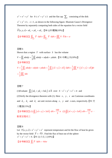$z^2 = x^2 + y^2$  for  $0 \le x^2 + y^2 \le 1$  and the flat cap  $\sum_2$  consisting of the disk  $x^{2} + y^{2} \le 1$ ,  $z = 1$ , as shown in the following figure. Illustrate Gauss's Divergence Theorem by separately computing both sides of the equation for a vector field

 $\vec{F}(x, y, z) = x\hat{a}_x + y\hat{a}_y + z\hat{a}_z$ . 【90 台科電機(10%)】

**【参考解答】**  $\iint_{\sum_{1}} \overrightarrow{F} \cdot \overrightarrow{n} dA + \iint_{\sum_{2}} \overrightarrow{F} \cdot \overrightarrow{n} dA = \iiint_{R} \nabla \cdot \overrightarrow{F} dv = \pi$ 

$$
\mathbb{Z} \boxtimes 6
$$
\nShown that a region *T* with surface *S* has the volume

\n
$$
V = \iint_{S} z \, dx \, dy = \frac{1}{3} \iint_{S} z \, dx \, dy + x \, dy \, dz + y \, dz \, dx. \quad \text{[91 + } \boxplus \pm \text{r} \times (10\%) \text{]}
$$
\n
$$
\mathbf{I} \otimes \mathbb{Z} \otimes \mathbb{Z} \otimes \mathbb{Z} \otimes \mathbb{Z}
$$
\n
$$
V = \frac{1}{3} \iint_{S} z \, dx \, dy + x \, dy \, dz + y \, dz \, dx = \frac{1}{3} \iint_{S} (\overline{x} \, \vec{i} + \overline{y} \, \vec{j} + z \, \vec{k}) \cdot \overline{n} \, dA = \frac{1}{3} \iiint_{S} \nabla \cdot (\overline{x} \, \vec{i} + \overline{y} \, \vec{j} + z \, \vec{k}) \, dv
$$
\n
$$
= \frac{1}{3} \iiint_{R} 3 \, dv
$$

# 習題 7

(1)Evaluate  $\iint_S (x\hat{a}_x + y\hat{a}_y + 3z\hat{a}_z) \cdot d\vec{A}$  over  $S: x^2 + y^2 + z^2 = 4$  and (2) Verify the divergence theorem with (1). Here  $x$ ,  $y$ ,  $z$  are Cartesian coordinates and  $\hat{a}_x$ ,  $\hat{a}_y$  and  $\hat{a}_z$  are unit vectors along *x*, *y* and *z* axes, respectively. [91  $\overline{\mathcal{K}}$ 大電信(15%)】

**【参考解答】(1)**  $\iint_S (\vec{x} + \vec{y} + 3\vec{z}) \cdot dA = \frac{160}{3} \pi$  (2)  $\iint (\vec{x} + \vec{y} + 3\vec{z}) \cdot dA = \frac{160}{3} \pi$ , 散度定理成立

# 習題 8

Let  $T(x, y, z) = x^2 + y^2 + z^2$  represent temperature and let the flow of heat be given by the vector field  $\overline{F} = -\overline{\nabla}T$ . Find the flux of heat out of the sphere  $x^2 + y^2 + z^2 = 4$ . 【91 台大化工(10%)】

**【参考解答】**  $\iint_S \overline{F} \cdot \overline{n} dA = -64\pi$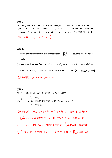Find the (1) volume and (2) centroid of the region *R* bounded by the parabolic cylinder  $z = 4 - x^2$  and the planes  $x = 0$ ,  $y = 6$ ,  $z = 0$  assuming the density to be a constant. The region  $R$  is shown in the Figure as follow.  $[91 \text{ }\text{\textsterling} \mathbb{R}^2 \mathbb{R}^2 \rightarrow \text{\textinterling} \mathbb{R}^2$ 

【參考解答】 $z=\frac{8}{5}$ 5  $\frac{x}{z} = \frac{8}{z}$ ,  $\frac{1}{y} = 3$ ,  $\frac{1}{x} = \frac{3}{z}$ 4  $x =$ 

#### 習題 10

- (1) Prove that for any closed, the surface integral  $\bigoplus_{\infty} \overline{n} ds$  $\overline{a}$  $\oint_{\infty}$  *nds* is equal to zero vector of surface.
- (2) A cone with surface function  $z^2 = 2(x^2 + y^2)$  in  $0 \le z \le 2\sqrt{2}$  is shown below.

Evaluate  $S = \iint_{S_{\infty}} \vec{n} ds = ?$   $S_{\infty}$ : the wall surface of the cone. [91 中原土木(10%)]

【參考解答】(1) *nds* <sup>=</sup> <sup>0</sup> ∫∫  $\oint \vec{n} ds = 0$  (2)  $\vec{S} = -4\pi \vec{k}$ 

習題 11

設 S唯一封閉曲線, R 為其所包圍之區域, 試證明

3 0 原點在S 4 $\pi$  原點在S內 (本例又稱為Gauss Theorem)  $\int_{S} \frac{r}{r^3} \cdot \overline{n} dA = \begin{cases} 4\pi \\ 2\pi \end{cases}$  $\overline{r^3}$ ·*ndA* = {4 $\pi$ } π  $\sqrt{ }$  $\cdot \overrightarrow{n} dA = \left\{$  $\overline{\mathcal{L}}$ ∫∫  $\vec{r}$  - $\bigoplus$ 原點在S外 原點在S內 本例又稱為 原點在S上

【參考解答】(1)若原點不在 *S* 內,則 <mark>*r*</mark> *r*  $\overline{a}$ 在 *S* 內,具有連續一階偏導數,  $\int_S \frac{r}{r^3} \cdot \vec{n} dA = 0$  $\therefore \oint_{S} \frac{1}{r^3} \cdot \overline{n} dA =$  $\vec{r}$  - $\oint_{S} \frac{\cdot}{r^3} \cdot \overline{n} dA = 0$  (2)若原點在 $S$ 內,則在原點附近,挖一半徑∈之圓, $S^*$ :  $x^2 + y^2 + z^2 = \epsilon^2$ 則在 *S*\*與 *S* 所包圍之區域內 *R*\* , <u>;</u> *r*  $\overline{a}$ 具有連續一階偏導數,  $\oiint_{S} \frac{r}{r^3} \cdot \vec{n} dA = 4\pi$  $\vec{r}$  +  $\oint_{S} \frac{r}{r^3} \cdot \overline{n} dA = 4\pi$  (3)設原點在 *S* 表面,定義積分主值,則 $\oiint_{S} \frac{r}{r^3} \cdot \overline{n} dA = 2\pi$  $\vec{r}$  - $\bigoplus$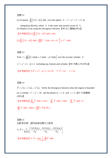(1) Evaluate  $\iint_S (7x\vec{i} - z\vec{k}) \cdot \vec{n} dA$  over the sphere  $S: x^2 + y^2 + z^2 = 4$  by  $\overline{a}$ 

integration directly, where *n* is the outer unit normal vector of *S* . (2) Repeat (1) by using the divergence theorem.  $[90 \times \mathbb{Z} \mathbb{Z} \mathbb{Z} \mathbb{Z} \mathbb{Z} \mathbb{Z} \mathbb{Z} \mathbb{Z} \mathbb{Z} \mathbb{Z}$ 

**【参考解答】(1)**  $\iint_S (7x\vec{i} - z\vec{k}) \cdot \vec{n} dA = 64\pi$ 

 $(2)\iint_S (7x\vec{i} - z\vec{k}) \cdot \vec{n} dA = \iiint (7-1) dv = 6v = 6 \cdot \frac{4}{3} \pi \cdot 2^3 = 64 \pi$ 

習題 13 Find  $I = \oint_S [3y^2 z dx dy + e^x dy dz - ye^x dx dz]$  $I = \oint_{\mathbb{R}} |3y^2z dx dy + e^x dy dz - ye^x dx dz$  over the circular cylinder *S* :  $x^2 + y^2 \le 1$ ,  $|z| \le 2$  including top, bottom and cylinder. 【90 中興土木(10%)】  $[$ 參考解答】令 $\vec{F} = e^x \vec{i} - v e^x \vec{j} + 3v^2 z \vec{k}$ ,  $\nabla \cdot \vec{F} = 3v^2$ ,  $I = 3\pi$ 

#### 習題 14

 $\overrightarrow{F} = x^3 \overrightarrow{a_x} + x^2 y \overrightarrow{a_y} + x^2 z \overrightarrow{a_z}$  Verify the divergence theorem when the region is bounded by a cylinder  $x^2 + y^2 = 16$  and the planes at  $z = 0$  and  $z = 2$ . 【87 元智電機  $(20\%)$ ]

【參考解答】 $\iint_{\mathbb{H}} \overline{F} \cdot \overline{n} dA = 512\pi$  ,  $\iint_{\mathbb{L}} \overline{F} \cdot \overline{n} dA = 128\pi$  ,  $\iint_{\mathbb{T}} \overline{F} \cdot \overline{n} dA = 0$  ,

 $\oiint_{S} \overrightarrow{F} \cdot \overrightarrow{n} dA = 640\pi = \iiint \nabla \cdot \overrightarrow{F} dv \overrightarrow{\mathbb{R}}$ 

習題 15 由散度定理,證明曲線座標中之散度

$$
\nabla \cdot \overline{F} = \frac{1}{h_1 h_2 h_3} \left[ \frac{\partial (F_1 h_2 h_3)}{\partial u_1} + \frac{\partial (F_2 h_1 h_3)}{\partial u_2} + \frac{\partial (F_3 h_2 h_1)}{\partial u_3} \right]
$$
  

$$
\left[ \frac{\partial \overline{F}}{\partial u_1} + \frac{\partial \overline{F}}{\partial u_2} + \frac{\partial \overline{F}}{\partial u_3} + \frac{\partial \overline{F}}{\partial u_4} + \frac{\partial \overline{F}}{\partial u_5} + \frac{\partial \overline{F}}{\partial u_6} + \frac{\partial \overline{F}}{\partial u_7} + \frac{\partial \overline{F}}{\partial u_8} + \frac{\partial \overline{F}}{\partial u_9} + \frac{\partial \overline{F}}{\partial u_9} + \frac{\partial \overline{F}}{\partial u_1} + \frac{\partial \overline{F}}{\partial u_2} + \frac{\partial \overline{F}}{\partial u_2} + \frac{\partial \overline{F}}{\partial u_3} + \frac{\partial \overline{F}}{\partial u_4} + \frac{\partial \overline{F}}{\partial u_5} + \frac{\partial \overline{F}}{\partial u_1} + \frac{\partial \overline{F}}{\partial u_2} + \frac{\partial \overline{F}}{\partial u_3} + \frac{\partial \overline{F}}{\partial u_2} + \frac{\partial \overline{F}}{\partial u_3} + \frac{\partial \overline{F}}{\partial u_4} + \frac{\partial \overline{F}}{\partial u_5} + \frac{\partial \overline{F}}{\partial u_5} + \frac{\partial \overline{F}}{\partial u_6} + \frac{\partial \overline{F}}{\partial u_7} + \frac{\partial \overline{F}}{\partial u_8} + \frac{\partial \overline{F}}{\partial u_8} + \frac{\partial \overline{F}}{\partial u_9} + \frac{\partial \overline{F}}{\partial u_9} + \frac{\partial \overline{F}}{\partial u_9} + \frac{\partial \overline{F}}{\partial u_9} + \frac{\partial \overline{F}}{\partial u_1} + \frac{\partial \overline{F}}{\partial u_2} + \frac{\partial \overline{F}}{\partial u_3} + \frac{\partial \overline{F}}{\partial u_2} + \frac{\partial \overline{F}}{\partial u_4} + \frac{\partial \overline{F}}{\partial u_5} + \frac{\partial
$$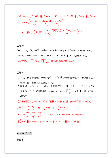$$
\oint \overrightarrow{F} \cdot \overrightarrow{n} dA = \iint_{\overrightarrow{E}} \overrightarrow{F} \cdot \overrightarrow{n} dA + \iint_{\overrightarrow{E}} \overrightarrow{F} \cdot \overrightarrow{n} dA + \iint_{\overrightarrow{F}} \overrightarrow{F} \cdot \overrightarrow{n} dA + \iint_{\overrightarrow{F}} \overrightarrow{F} \cdot \overrightarrow{n} dA + \iint_{\overrightarrow{B}} \overrightarrow{F} \cdot \overrightarrow{n} dA + \iint_{\overrightarrow{B}} \overrightarrow{F} \cdot \overrightarrow{n} dA
$$
\n
$$
= \Delta u_1 \Delta u_2 \Delta u_3 \left[ \frac{\partial (F_1 h_2 h_3)}{\partial u_1} + \frac{\partial (F_2 h_1 h_3)}{\partial u_2} + \frac{\partial (F_3 h_1 h_2)}{\partial u_3} \right]
$$
\n
$$
\vec{V} \cdot \overrightarrow{F} = \lim_{\Delta V \to 0} \frac{1}{\Delta V} \oint \overrightarrow{F} \cdot \overrightarrow{n} dA = \frac{1}{h_1 h_2 h_3} \left[ \frac{\partial (F_1 h_2 h_3)}{\partial u_1} + \frac{\partial (F_2 h_1 h_3)}{\partial u_2} + \frac{\partial (F_3 h_1 h_2)}{\partial u_3} \right]
$$

Let  $\vec{v} = rz\hat{e}_r + 3\hat{e}_{\theta} + rz^2\hat{e}_z$ , evaluate the surface integral  $\int_{\zeta} \hat{n} \cdot \vec{n} da$ , including the top, bottom, and side, for a cylinder  $0 \le r \le 3$  ,  $0 \le z \le 6$ . 【89 交大機械(17%)】 **【参考解答】**  $\iint \vec{v} \cdot \vec{n} dA = \int_0^6 \int_0^{2\pi} \int_{R=0}^3 (2z + 2zr) r dr d\theta dz = 972\pi$ 

# 習題 17

- (1) 已知一穩定流流體之速度向量 v = − y<sup>2</sup>i + 2j ,證明該流體具不可壓縮性並試求 流體內任一質點之運動路徑方程式。
- (2) 向量場  $F = 2z^2 y^2 x^2$ 通過一矩形體在 0 ≤ *x* ≤ 1 , 0 ≤ *y* ≤ 2 , 0 ≤ *z* ≤ 4表面  $S\,:\, \widetilde{\mathbb{E}}\mathbb{H}\,F \mathop\widehat{\mathbb{E}}\mathbb{H}$ 和函數(harmonic function)及 $\iint_S \frac{\partial F}{\partial n} \,dA =$  $\int_{S} \frac{\partial I}{\partial n} dA$ *n*  $\frac{dF}{dt}$ *dA* = 0。【91 中山海還  $(20\%)$

 $\overline{\mathbf{K}}$ 參考解答】(1) $\nabla \cdot \vec{v} = 0$ ,爲不可壓縮,令運動路徑上任一點位置  $\vec{r} = x\vec{i} + y\vec{j}$ ,

$$
d\vec{r}/\vec{v} \cdot \frac{dx}{-y^2} = \frac{dy}{2} \cdot dx = -\frac{1}{2}y^2 dy \cdot x = -\frac{1}{6}y^3 + c
$$
  
(2) 
$$
\nabla^2 F = \frac{\partial^2 F}{\partial x^2} + \frac{\partial^2 F}{\partial y^2} + \frac{\partial^2 F}{\partial z^2} = -2 - 2 + 4 = 0 \cdot F \text{ is a harmonic function}
$$
  

$$
\iint \frac{\partial F}{\partial n} dA = \iint_S \nabla F \cdot \vec{n} dA = \iiint_V \nabla \cdot \nabla F dv = \iiint_V \nabla^2 F dv = \iiint_0^{\infty} 0 \, dv = 0 \text{ }\text{iff} \text{ }\text{if}
$$

■ Stoke 氏定理

習題 1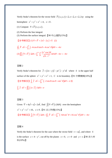Verify Stoke's theorem for the vector field  $\overrightarrow{F}(x, y, z) = \overrightarrow{a}_x x + \overrightarrow{a}_y x + \overrightarrow{a}_z 2xy$  using the hemisphere  $x^2 + y^2 + z^2 = 4$ ,  $z < 0$ .

- (1) Compute  $\nabla \times \overline{F}(x, y, z)$ .
- (2) Perform the line integral.

(3) Perform the surface integral.【90 中山通訊(15%)】

$$
\boxed{\textcircled{\#}\#\mathbb{F}^{\times}\ } \quad (1)\nabla\times\overline{F} = 2x\overline{i} - 2y\overline{j} + \overline{k} \quad (2)}
$$

$$
\oint_C \overrightarrow{F} \cdot d\overrightarrow{r} = \int_{2\pi}^0 \left( -4\cos\theta\sin\theta + 4\cos^2\theta \right) d\theta = -4\pi
$$
\n
$$
(3) \iint_S \left( \nabla \times \overrightarrow{F} \right) \cdot \overrightarrow{n} dA = \int_0^{2\pi} \int_0^2 \frac{2r^2 \cos 2\theta}{\sqrt{4 - r^2}} r dr d\theta - 4\pi = -4\pi
$$

#### 習題 2

Verify Stoke's theorem for  $\vec{f} = (2x - y)\vec{i} - yz^2\vec{j} - y^2z\vec{k}$  where *S* is the upper half surface of the sphere  $x^2 + y^2 + z^2 = 1$ , *C* is its boundary. 【91 中興機械(10%)】 **【参考解答】**  $\int_C \overline{f} \cdot d\overline{r} = \int_0^{2\pi} (-2\sin\theta\cos\theta + \sin^2\theta) d\theta = \pi$ **故**  $\int_{C} \overrightarrow{f} \cdot d\overrightarrow{r} = \iint_{C} (\Delta \times \overrightarrow{f}) \cdot \overrightarrow{n} dA = \pi$ 

# 習題 3

Given 
$$
\vec{V} = 4y\hat{i} + x\hat{j} + 2z\hat{k}
$$
, find  $\int (\nabla \times \vec{V}) \cdot (\hat{n}dA)$  over the hemisphere  
\n $x^2 + y^2 + z^2 = 16$ ,  $z \ge 0$ . [91  $\text{KTE}(\pm 15\%)$ ]  
\n[ $\text{HSE} = \int_S (\nabla \times \vec{V}) \cdot \vec{n} dA = \oint_C \vec{F} \cdot d\vec{r} = \int_0^{2\pi} (-64 \sin^2 \theta + 16 \cos^2 \theta) d\theta = -4\pi$ 

# 習題 4

Verify the Stoke's theorem for the case where the vector field  $v = x\hat{i}$ , and where *S* is the surface  $z = 4 - y^2$ , cut off by the planes  $x = 0$ ,  $z = 0$  and  $y = x$ . 190 清大材 料(10%)】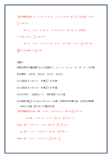**1** 
$$
\frac{2}{3}\pi \mathbb{R} \mathbb{R}
$$
 on  $C_1$ :  $x = 0$ ,  $z = 4 - y^2$ ,  $y = 2 \rightarrow y = 0$ ,  $d\vec{r} = (\vec{j} - 2y\vec{k})dy$ ,  $\vec{v} = 0$ ,  $\int_{C_1} \vec{v} \cdot d\vec{r} = 0$ 

\non  $C_2$ :  $x = y$ ,  $z = 4 - y^2$ ,  $y = 0 \rightarrow y = 2$ ,  $d\vec{r} = (\vec{i} + \vec{j} - 2y\vec{k})dy$ ,  $\vec{v} = y(4 - y^2)\vec{j}$ ,  $\int_{C_2} \vec{v} \cdot d\vec{r} = 4$ 

\non  $C_3$ :  $z = 0$ ,  $x = 2 \rightarrow x = 0$ ,  $y = 2$ ,  $d\vec{r} = dx\vec{i}$ ,  $\vec{v} = 0$ ,  $\int_{C_3} \vec{v} \cdot d\vec{r} = 0$ 

\n**1**  $\int (\nabla \times \vec{v}) \cdot \vec{n} dA = 4 = \int_{C} \vec{v} \cdot d\vec{r}$ 

兩維空間的向量函數  $\overline{f}(x, y)$  定義如下:  $f_x = -y$  ,  $f_y = x \cdot A \cdot B \cdot C \cdot D$  四點 的座標為:  $A(0,0) \cdot B(0,1) \cdot C(1,1) \cdot D(1,0)$ 。

- (1) 沿路徑 *A* → *B* → *C* ,計算 ∫ ƒ ⋅ *d τ* 的值。
- (2) 沿路徑 *A → D → C* ,計算 ∫ *J · d ī* 的值。
- (3) 從A到*C* ,沿路徑 y =  $x^2$  ,再計算 ∫ ƒ ⋅ *d* r 之値
- (4) 直接計算 *<sup>f</sup>* <sup>⋅</sup>*d r* ∫ JK K <sup>沿</sup> *<sup>A</sup>* →→→ *BCD* 繞一封閉矩形的積分值,並用比例解釋 Stoke's 定理。【91 成大光電(20%)】

【參考解答】(1)on  $AB \cdot x = 0 \cdot y = 0 \rightarrow y = 1 \cdot dx = 0 \int \overline{f} \cdot d\overline{r} = 0$ JK K

on BC 
$$
\cdot
$$
  $x=0 \rightarrow 1$   $\cdot$   $y=1$   $\cdot$   $dy=0$   $\cdot$   $\int \overrightarrow{f} \cdot d\overrightarrow{r} = -1$ 

(2)on *AD* ,  $x = 0 \rightarrow 1$ ,  $y = 0$ ,  $dy = 0$ ,  $\int \overline{f} \cdot d\overline{r} = 0$  $\overline{\phantom{a}}$   $\overline{\phantom{a}}$ 

on  $DC$  ,  $x=1$ ,  $y=0 \rightarrow 1$ ,  $dx=0$ ,  $\int \overline{f} \cdot d\overline{r} = 1$  $\rightarrow$ 

(3) on *AC* ,  $y = x^2$ ,  $x = 0 \rightarrow 1$ ,  $\int_C \overline{f} \cdot d\overline{r} = \frac{1}{3}$  $\overline{\phantom{a}}$   $\overline{\phantom{a}}$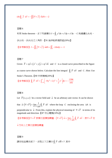$$
(4) \oint_C \overline{f} \cdot d\overline{r} = -\iint \left( \nabla \times \overline{f} \right) \cdot \overline{k} dA = -2
$$

利用 Stoke theorem,求下列線積分  $I = \oint_C y^2 dx + z^2 dy + x^2 dz$  ,  $C$  為連續 $\left( 1, 0, 0 \right)$  ,

( ) 0,1,0 ,( ) 0,0,1 之三角形。【91 海洋船研通訊組(20%)】

【参考解答】  $I = \iint_S (\nabla \times \vec{f}) \cdot \vec{n} dA = \iint_S -2 dx dy = -1$ 

#### 習題 7

Given  $\overline{F} = xy\overline{i} + (x^2 + y)\overline{j} + xy^2z\overline{k}$  and *C* is a closed curve prescribed in the figure as coarse curve shown below. Calculate the line integral  $\oint_C \overline{F} \cdot d\overline{r}$  $\rightarrow$  $\oint_C \overline{F} \cdot d\overline{r}$  and *C*. Hint: Use Stoke's Theorem.【90 中原機械(20%)】

**{{** 
$$
\circled{g}}
$$
  $\circled{f}$   $\circled{f}$  **{{**  $\circled{f}}$  **{{**  $\circled{f}}$  **{{**  $\circled{f}}$  **{{**  $\circled{f}}$  **{{**  $\circled{f}}$  **{{**  $\circled{f}}$  **{{**  $\circled{f}}$  **{{**  $\circled{f}}$  **{{**  $\circled{f}}$  **{{**  $\circled{f}}$  **{{**  $\circled{f}}$  **{{**  $\circled{f}}$  **{{**  $\circled{f}}$  **{{**  $\circled{f}}$  **{{**  $\circled{f}}$  **{{**  $\circled{f}}$  **{{**  $\circled{f}}$  **{{**  $\circled{f}}$  **{{**  $\circled{f}}$  **{{**  $\circled{f}}$  **{{**  $\circled{f}}$  **{{**  $\circled{f}}$  **{{**  $\circled{f}}$  **{{**  $\circled{f}}$  **{{**  $\circled{f}}$  **{{**  $\circled{f}}$  **{{**  $\circled{f}}$  **{{**  $\circled{f}}$  **{{**  $\circled{f}}$  **{{**  $\circled{f}}$  **{{**  $\circled{f}}$  **{{**  $\circled{f}}$  **{{**  $\circled{f}}$  **{{**  $\circled{f}}$  **{{**  $\circled{f}}$  **{{**  $\circled{f}}$  **{{**  $\circled{f}}$  **{{**  $\circled{f}}$  **{{**  $\circled{f}}$  **{{**  $\circled{f}}$  **{{**  $\circled{f}}$  **{{**  $\circled{f}}$  **{{**  $\circled{f$ 

#### 習題 8

Let  $\overline{F}(x, y, z)$  be a vector field and  $\overline{a}$  be an arbitrary unit vector. It can be shown that  $\vec{a} \cdot (\nabla \times \vec{F}) = \lim_{\Delta A \to 0} \frac{1}{\Delta A} \oint_C \vec{F} \cdot d\vec{r}$  $\stackrel{\sim}{\Delta}$ <sup>A</sup>  $\stackrel{\sim}{\Delta}$ A  $\cdot(\nabla\times F)=\lim_{\longrightarrow}\frac{1}{\Phi}F$ .  $\vec{a} \cdot (\nabla \times \vec{F}) = \lim_{\Delta A \to 0} \frac{1}{\Delta A} \oint_C \vec{F} \cdot d\vec{r}$  where the loop *C* enclosing the area  $\Delta A$  is perpendicular to *a*  $\overline{a}$ From this, explain the physical meaning of  $\nabla \times \vec{F}$  in terms of its magnitude and direction.【87 中山電機(10%)】

【參考解答】∇ × *F*  $\overline{\phantom{a}}$ 表單位面積旋轉量, $\left( \nabla \times \overline{F} \right) \cdot \vec{n} = \lim_{\Delta A \to 0} \frac{1}{\Delta A} \oint_C \overline{F} \cdot d\overline{r}$  $\Delta A \rightarrow 0$   $\Delta A$  $\nabla \times F \cdot n = \lim_{n \to \infty} \frac{1}{n} \Phi_n F$  $\overrightarrow{F}$ ) $\cdot \overrightarrow{n}$  =  $\lim_{\Delta A \to 0} \frac{1}{\Delta A} \oint_C \overrightarrow{F} \cdot d\overrightarrow{r}$   $\cdot \not\equiv \nabla \times \overrightarrow{F}$   $\overrightarrow{E}$ 

*n*  $\overline{a}$ 方向上之單位面積旋轉量

習題 9

請在柱座標系統下,求取以下之積分 $\oint_c \overline{V}\cdot d\overline{R}$ =  $\rightarrow$  J $\rightarrow$  $\oint_{C}\overline{V}\cdot d\overline{R}$ =?其中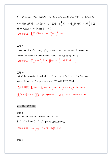$\vec{V} = -r^2 \cos \theta \vec{e_r} + r^2 \vec{e_\theta} + r \sin \theta \vec{e_z}$ ,  $C = C_1 \cup C_2 \cup C_3 \cup C_4 \cup C_5$  而圖中  $S = S_1 \cup S_2$  爲  $C$ 所圍成之曲面, $S_{\rm 1}$ 爲在 $z$ =3之半徑爲2之 $\frac{1}{4}$ 圓, $S_{\rm 2}$ 爲 $\frac{1}{4}$ 圓筒面, $C_{\rm 2}$ 爲 $\frac{1}{4}$ 半徑 為 25 支圓弧。【89 中央土木(15%)】 【參考解答】 $\oint \vec{V} \cdot d\vec{R} = -6 - 4\pi + \frac{8}{5} = \frac{-10}{5} - 4$  $\oint_C \vec{V} \cdot d\vec{R} = -6 - 4\pi + \frac{8}{3} = \frac{-10}{3} - 4\pi$  $\oint$ 

# 習題 10

Given that  $\overrightarrow{F} = x^2 \hat{a}_x - xz \hat{a}_y - y^2 \hat{a}_z$ , calculate the circulation of  $\overrightarrow{F}$  around the (closed) path shown in the following figure. 【88 台科電機(10%)】 【參考解答】 $\iint_{1,5,4} (\nabla \times \vec{F}) \cdot \vec{n} dA = \iint z dx dy = \frac{1}{6}$  $\iint_{1.5,4} (\nabla \times \vec{F}) \cdot \vec{n} dA = \iint z dx dy = \frac{1}{6}$ ,  $\oint_C \vec{F} \cdot d\vec{r} = -\frac{1}{6}$  $\overline{\phantom{a}}$   $\overline{\phantom{a}}$  $\oint$ 

# 習題 11

Let *S* be the part of the cylinder  $z = 1 - x^2$  for  $0 \le x \le 1$ ,  $-1 \le y \le 2$  verify stoke's theorem if  $\vec{F} = xy\hat{i} + yz\hat{j} + xz\hat{k}$ . 【89 台科電子(12%)】 【參考解答】 $\oint_C \vec{F} \cdot d\vec{r} = \int_{C_1} \vec{F} \cdot d\vec{r} + \int_{C_2} \vec{F} \cdot d\vec{r} + \int_{C_3} \vec{F} \cdot d\vec{r} + \int_{C_4} \vec{F} \cdot d\vec{r} = -3$ ,  $\iint_S (\nabla \times \overline{F}) \cdot \overline{n} dA = \int_{-1}^{2} \int_0^1 (-2xy - x) dx dy = -3 \rightarrow \exists x \int_S (\nabla \times \overline{F}) \cdot \overline{n} dA = \oint_C \overline{F} \cdot d\overline{r}$ 

#### 向量內積與外積

習題 1 Find the unit vector that is orthogonal to both

 $\vec{u} = \vec{i} - 4\vec{j} + \vec{k}$  and  $\vec{v} = 2\vec{i} + 3\vec{j}$ . 【91 中山環工(15%)】

[
$$
d^{\frac{1}{2}}\frac{1}{2} \pm \frac{1}{\sqrt{134}} \left(-3\vec{i} + 2\vec{j} + 11\vec{k}\right)
$$
, 5

習題 2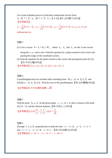Use Gram-Schmidt process to find three orthonomal vectors from  $V_1 = [1 \ 7 \ 1 \ 7] \cdot V_2 = [0 \ 7 \ 2 \ 7] \cdot V_3 = [1 \ 8 \ 16]$  【91 台科電子(10%)】 【參考解答】  $u_1 = \frac{1}{10} [0 \ 1 \ 0 \ -1], \ \ u_2 = \frac{1}{\sqrt{2}} [-1 \ 0 \ 1 \ 0]$ 2  $u_2 = \frac{1}{\sqrt{2}} \left[ -1 \ 0 \ 1 \ 0 \right], \ u_3 = \frac{1}{\sqrt{2}} \left[ 0 \ 1 \ 0 \ -1 \right]$ 2  $u_3 = \frac{1}{\sqrt{2}} \left[ 0 \ 1 \ 0 \ -1 \right]$ ,  $\{ u_1, u_2, u_3 \}$  is an

orthonormal set

習題 3

(1) Give a vector  $\vec{a} = \hat{e}_1 + 2\hat{e}_2 + 3\hat{e}_3$ , where  $\hat{e}_1$ ,  $\hat{e}_2$  and  $\hat{e}_3$  are the 3 unit vectors

along the x-, y-, and z-axis. Find the equation for a plane normal to this vector and passing the origin of the coordinate system.

(2) Find the equation for the plane normal to this vector and passing the point  $(0,1,0)$ . 【91 中央光電(10%)】

【參考解答】(1)  $x+2y+3z = 0$  (2)  $x+2y+3z = 2$ 

#### 習題 4

A parallelogram has two incident sides extending from  $(0, 1, -2)$  to  $(1, 2, 2)$  and from  $(0, 1, -2)$  to  $(1, 4, 1)$ . Find the area of this parallelogram. 【90 台科電機(10%)】

【參考解答】平行四邊形面積= $\sqrt{85}$ 

#### 習題 5

Find the point  $(x, y, z)$  on the given plane  $x - y + 2z = 4$ , that is closest to the point A(2,0, –1), and the shortest distance. 【90 中原化工(10%)】

[
$$
∛
$$
等解答え� (1)  $P\left(\frac{8}{3}, -\frac{2}{3}, \frac{1}{3}\right)$  (2)  $d = \frac{4}{\sqrt{6}}$ 

習題 6

Through  $(-1, 2, 3)$  perpendicular to both the lines  $x = -1 + 3t$ ,  $y = 2$ ,  $z = 3 - t$ and  $x = -1-t$ ,  $y = 2+3t$ ,  $z = 3+t$ . 【90 北科自動化(10%)】 【參考解答】  $x = 3t-1$ ,  $y = -2t+2$ ,  $z = 9t+3$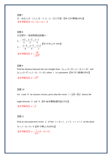求一含(1,2,1),(-1,1,3),(-2,-2,-2)之平面。【90 北科環境(10%)】 【參考解答】11x-12y+5z = -8

# 習題 8 求空間中二直線間最短距離*d* :

$$
L_1: \frac{x-2}{3} = \frac{y-5}{2} = \frac{z-1}{-1}
$$
  
\n
$$
L_2: \frac{x-4}{-4} = \frac{y-5}{4} = \frac{z+2}{1}
$$
  
\n**[85 + 4 + 10%]  
\n**[85 + 10%]  
\n
$$
d = \frac{48}{\sqrt{437}}
$$****

# 習題 9

Find the distance between the two straight lines:  $(x, y, z) = (3 + t, 1 - 2t, 2 + 2t)$  and  $(x, y, z) = (7 + t, 1 - 2t, -3 + 2t)$ , where *t* is a parameter.【90 清大動機(10%)】

 $[$ 參考解答】*d* =  $\sqrt{37}$ 

# 習題 10

Let *a*  $\overline{a}$ and *b*  $\overline{a}$ be nonzero vectors, prove that the vector  $\vec{c} = |\vec{a}|\vec{b} + |\vec{b}|\vec{a}$  bisects the

angle between *a*  $\overline{a}$  and *b* l<br>H .【90 海洋電機通訊組(15%)】

 $\left[\frac{1}{2}, \frac{1}{2}, \frac{1}{2}\right]$   $\alpha = \beta$ 

# 習題 11

Find an unit projection vector *u*  $\overline{a}$ of line  $x = 2t + 1$ ,  $y = 3$ ,  $z = -t + 2$  on the plane  $3x + y - 2z + 6 = 0$  【89 中興土木(20%)】 【參考解答】  $u = \frac{1}{\sqrt{21}} (2\vec{i} - 4\vec{j} + \vec{k})$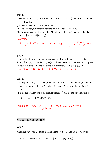Given Point *A*(1, 0, 2), *B*(4, 5, 0), *C*(0, −3,5), *D*(−2, 0,7), and *E*(0, −1,7) in the space, please find:

- (1) The normal unit vector of plane CDE.
- (2) The equation, which is the perpendicular bisector of line *AB* .
- (3) The coordinate of piercing point *M* , where the line *AB* intersects the plane CDE.【91 清大動機(15%)】

\n
$$
\begin{aligned}\n &\text{[$\frac{1}{2}$, $\frac{1}{2}$, $\frac{1}{2}$, $\frac{1}{2}$, $\frac{1}{2}$, $\frac{1}{2}$, $\frac{1}{2}$, $\frac{1}{2}$, $\frac{1}{2}$, $\frac{1}{2}$, $\frac{1}{2}$, $\frac{1}{2}$, $\frac{1}{2}$, $\frac{1}{2}$, $\frac{1}{2}$, $\frac{1}{2}$, $\frac{1}{2}$, $\frac{1}{2}$, $\frac{1}{2}$, $\frac{1}{2}$, $\frac{1}{2}$, $\frac{1}{2}$, $\frac{1}{2}$, $\frac{1}{2}$, $\frac{1}{2}$, $\frac{1}{2}$, $\frac{1}{2}$, $\frac{1}{2}$, $\frac{1}{2}$, $\frac{1}{2}$, $\frac{1}{2}$, $\frac{1}{2}$, $\frac{1}{2}$, $\frac{1}{2}$, $\frac{1}{2}$, $\frac{1}{2}$, $\frac{1}{2}$, $\frac{1}{2}$, $\frac{1}{2}$, $\frac{1}{2}$, $\frac{1}{2}$, $\frac{1}{2}$, $\frac{1}{2}$, $\frac{1}{2}$, $\frac{1}{2}$, $\frac{1}{2}$, $\frac{1}{2}$, $\frac{1}{2}$, $\frac{1}{2}$, $\frac{1}{2}$, $\frac{1}{2}$, $\frac{1}{2}$, $\frac{1}{2}$, $\frac{1}{2}$, $\frac{1}{2}$, $\frac{1}{2}$, $\frac{1}{2}$, $\frac{1}{2}$, $\frac{1}{2}$, $\frac{1}{2}$, $\frac{1}{2}$, $\frac{1}{2}$, $\frac{1}{2}$, $\frac{1}{2}$, $\frac{1}{2}$, $\frac{1}{2}$, $\frac{1}{2}$, $\frac{1}{2}$, $\frac{1}{2}$, $\frac{1}{2}$, $\frac{1}{2}$, $\frac{1}{2}$, $\frac{1}{2}$, $\frac{1}{2}$, $\frac{1}{2}$, $\frac{1}{2}$, $\frac{1}{2}$, $\frac{1}{2}$, $\frac{1}{2}$, $\frac{1}{2}$, $\frac{1}{2}$, $\frac{1}{2}$, $\frac{1}{2}$, $\frac{1}{2}$, $\frac{1}{2}$, $\frac{1}{2}$, $\frac{1}{2}$, $\frac{1}{2}$, $\frac{1}{2}$, $\frac{1}{2}$, $\frac{1}{2}$, $\frac{1}{2}$, $\frac{1}{2}$, $\frac{
$$

#### 習題 13

Assume that there are two lines whose parametric descriptions are, respectively,  $(1, -2, 1)t + (2, 4, 5)$  and  $(2, 4, 4)r + (2, 0, 4)$ . Will these two lines intersect? Explain. (If your answer is TES, find the point of intersection.)【91 高科通訊(10%)】 【參考解答】 *L*1與 *L*<sup>2</sup> 有交點,交點座標 *x* = 3, *y* = 2 , *z* = 6

#### 習題 14

- (1) The points  $A(1, -2, 1)$ ,  $B(0, 1, 6)$  and  $C(-3, 4, -2)$ , form a triangle. Find the angle between the line *AB* and the line from *A* to the midpoint of the line *BC* .
- (2) Find the equation of a plane passing through  $(-6, 1, 1)$  and perpendicular to

 $-2\vec{i} + 4\vec{j} + \vec{k}$  【91 交大機械(10%)】

【參考解答】(1) <sup>1</sup> <sup>2</sup> cos 21 35 55 <sup>θ</sup> <sup>−</sup> ⎛ ⎞ <sup>=</sup> ⎜ ⎟ × ⎝ ⎠ (2) −2 4 17 *x yz* + += 為所求

#### ■ 純量三重積與向量三重積

習題 1

An unknown vector *x* x satisfies the relations:  $\vec{x} \cdot \vec{b} = \beta$ , and  $\vec{x} \times \vec{b} = \vec{c}$ . Try to

express *x*  $\overline{a}$ in terms of  $\beta$ , *b*  $\overline{a}$ , and *c*  $\overline{a}$ .【91 清大物理(10%)】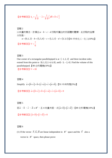$$
\left[\frac{1}{2} \frac{\partial \psi}{\partial x} + \frac{\partial \psi}{\partial y} \frac{\partial \psi}{\partial y} + \frac{\partial \psi}{\partial z} \frac{\partial \psi}{\partial z} \right]
$$

以向量的概念,計算出a、b、c、d四點所圍出的四面體的體積,此四點的座標 分別是:

 $a = (0,1,2) \cdot b = (5,5,6) \cdot c = (1,2,1) \cdot d = (3,3,1)$ 【91 中央化工、化工(10%)】 【參考解答】 $V = \frac{7}{5}$ 6  $V =$ 

#### 習題 3

One corner of a rectangular parallelepiped is at  $(-1, 2, 2)$  and three incident sides extend from this point to  $(0, 1, 1), (-4, 6, 8),$  and  $(-3, -2, 4)$ . Find the volume of this parallelepiped.【90 台科電機(10%)】

【參考解答】*V* =18

#### 習題 4

Simplify  $\vec{a} \times (\vec{b} \times \vec{c}) + \vec{b} \times (\vec{c} \times \vec{a}) + \vec{c} \times (\vec{a} \times \vec{b})$ . 【91 中央物理(5%)】

【參考解答】 $\vec{a} \times (\vec{b} \times \vec{c}) + \vec{b} \times (\vec{c} \times \vec{a}) + \vec{c} \times (\vec{a} \times \vec{b}) = 0$ 

#### 習題 5

若*a*  $\overline{a}$ 、*b*  $\overline{a}$ 、*c*  $\overline{a}$  $\overline{d}$  ∈  $R$ <sup>3</sup> , 且 4 向量共面,求 $(\overline{a} \times \overline{b}) \times (\overline{c} \times \overline{d})$  。【89 北科電機(10%)】

【參考解答】 $(\vec{a} \times \vec{b}) \times (\vec{c} \times \vec{d}) = 0$ 

# 習題 6

(1) If the vector  $F$ ,  $G$ ,  $H$  $\rightarrow$   $\rightarrow$   $\rightarrow$ are linear independent in  $R^3$  space and the *V* also a vector in  $R^3$  space, then please prove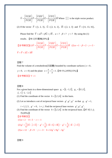$$
\overline{V} = \frac{\left[\overrightarrow{V}\overrightarrow{GH}\right]}{\left[\overrightarrow{F}\overrightarrow{GH}\right]} \overline{F} + \frac{\left[\overrightarrow{V}\overrightarrow{HF}\right]}{\left[\overrightarrow{F}\overrightarrow{GH}\right]} \overline{G} + \frac{\left[\overrightarrow{V}\overrightarrow{FG}\right]}{\left[\overrightarrow{F}\overrightarrow{GH}\right]} \overline{H}
$$
 Where  $\left[\right]$  is the triple vector product.

(2) If the vector  $\vec{F} = (1, 2, 3), \vec{G} = (2, 4, 2), \vec{H} = (2, 1, 3)$  and  $\vec{V} = (11, 13, 16),$ 

Please find the  $\vec{V} = \alpha \vec{F} + \beta \vec{G} + \gamma \vec{H}$ ,  $\alpha = ?$   $\beta = ?$   $\gamma = ?$  By using the (1)

results. 【90 北科電機(20%)】

$$
\begin{aligned}\n\left[\frac{1}{2} \frac{\partial \overline{\partial}}{\partial x} + \frac{\overline{\partial}}{\partial y} \frac{\partial}{\partial y}\right] &= \frac{\overline{\partial}}{\overline{G}} \frac{\overline{\partial}}{\overline{G}} \\
\overline{\overline{G}} \frac{\overline{\partial}}{\overline{G}} \\
\overline{\overline{G}} \frac{\overline{\partial}}{\overline{G}}\n\end{aligned}\n\right]\n\overline{G} + \frac{\overline{\partial}}{\overline{G}} \frac{\overline{\partial}}{\overline{G}} \frac{\overline{\partial}}{\overline{G}}\n\overline{G} \\
\overline{\overline{G}} \frac{\overline{\partial}}{\overline{G}}\n\overline{G}\n\overline{H}\n\right]\n\overline{G} + \frac{\overline{\partial}}{\overline{G}} \frac{\overline{\partial}}{\overline{G}} \frac{\overline{\partial}}{\overline{G}}\n\overline{H}\n\right]\n\overline{G} + \frac{\overline{\partial}}{\overline{G}} \frac{\overline{\partial}}{\overline{G}} \frac{\overline{\partial}}{\overline{G}}\n\overline{H}\n\right]\n\overline{G} + \frac{\overline{\partial}}{\overline{G}} \frac{\overline{\partial}}{\overline{G}} \frac{\overline{\partial}}{\overline{G}}\n\overline{H}\n\right]\n\overline{G} + \frac{\overline{\partial}}{\overline{G}} \frac{\overline{\partial}}{\overline{G}} \frac{\overline{\partial}}{\overline{G}}\n\overline{H}\n\end{aligned}
$$

習題 7

Find the volume of a tetrahedron( $\text{Zm}$ ) bounded by coordinate surfaces ( $x = 0$ , *y* = 0, *z* = 0) and the plane  $x + \frac{y}{2} + \frac{z}{2} = 1$ 32  $x+\frac{y}{2}+\frac{z}{2}=1$ .【90 中山材料(15%)】 【參考解答】*V* =1

習題 8

For a given basis in a three-dimensional space  $g_1 = [1, -1, 2], g_2 = [0, 1, 1],$  $f_3 = [-1, -2, 1]$ (1) Find the coordinate of the vector  $h = [3, 3, 6]$  in this basis.

(2) Let us introduce a set of reciprocal base vectors  $g^1, g^2, g^3$  so that  $g_i \cdot g^i = 1$ ,

 $i = 1, 2, 3$ ,  $g^{j} = 0$ ,  $i \neq j$ . Find the reciprocal base vectors  $g^{1}, g^{2}, g^{3}$ .

(3) Find the coordinate of the vector  $h = [3, 3, 6]$  in the reciprocal basis.  $[87 \text{ R} \pm \text{A}]$ 木(20%)】 【參考解答】

$$
(1) a = 2 \cdot b = 3 \cdot c = -1
$$

(2) 
$$
g^1 = \frac{1}{6} \left( 3\vec{i} - \vec{j} + \vec{k} \right) , g^2 = \frac{1}{6} \left( -3\vec{i} + 3\vec{j} + 3\vec{k} \right) , g^3 = \frac{1}{6} \left( -3\vec{i} - \vec{j} + \vec{k} \right)
$$
  
(3)  $\alpha = 12 , \beta = 9 , \gamma = -3 , h = 12g^1 + 9g^2 - 3g^3$ 

習題 9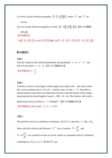- (1) Prove Cauchy-Schwarz inequality  $|\vec{F} \cdot \vec{G}| \leq ||\vec{F}|| ||\vec{G}||$ , where  $|\vec{F}|$ and  $\overrightarrow{G}$  are vectors.
- (2) Use Cauchy-Schwarz inequality to verify  $\|\vec{F} + \vec{G}\| \le \|\vec{F}\| + \|\vec{G}\|$ . 【88 台科電機
- $(10\%)$ 【參考解答】  $(1)$   $\left|\overline{F}\cdot\overline{G}\right| = \left|\left|\overline{F}\right|\cdot\left|\overline{G}\right|\right| \cdot \cos\theta \le \left|\overline{F}\right|\cdot\left|\overline{G}\right| \left(\frac{\overline{F}}{G}\right) \cdot \left(\frac{\overline{F}}{G} + \overline{G}\right)^2 \le \left(\left|\overline{F} + \overline{G}\right|\right)^2 \cdot \frac{\overline{F}}{F} + \left|\overline{G}\right| \le \left|\overline{F}\right| + \left|\overline{G}\right|$

# ■ 向量微分

#### 習題 1

Find the volume of the solid bounded below the paraboloid  $z = 4 - x^2 - y^2$  and above by the plane  $z = 4 - 2x$ . 【91 交大機械(5%)】

 $\left[$ 參考解答  $V = \frac{\pi}{2}$ 

#### 習題 2

A funnel, as shown in the figure, whose angle at the outlet is  $60^\circ$  and whose outlet has a cross-sectional area of 0.5  $cm^2$ , contains water. At time  $t = 0$  the outlet is opened and the water flows out. Determine the time when the funnel will be empty, assuming that the initial height of water is  $h(0) = 10$  cm. The velocity with witch a

liquid issues from an orifice is  $v = 0.6 (2gh)^{\frac{1}{2}}$ .【89 中央機械(25%)】 【參考解答】when empty,  $h = 0$ ,  $t = 99.6$ 

#### 習題 3

The position vector in a cylindrical coordinates  $(R, \theta, Z)$  is given by  $\bar{r} = R\hat{e}_R + Z\hat{e}_Z$ .

Show what the velocity and Newton's  $2^{nd}$  Law of motion,  $\overline{V} = \frac{dr}{dt}$  $\overrightarrow{V} = \frac{d\overrightarrow{r}}{r}$  and

2  $\overline{F} = m \frac{d^2 r}{dt^2}$  $\overline{F} = m \frac{d^2 \vec{r}}{dt^2}$ , for a particle of mass m can be written in component from in cylindrical

coordinates as  $(V_R, V_\theta, V_z) = (\dot{R}, R\dot{\theta}, \dot{Z})$  and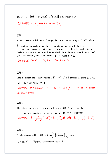$$
(F_R, F_{\theta}, F_Z) = [m(\ddot{R} - R\dot{\theta}^2), m(R\ddot{\theta} + 2\dot{R}\dot{\theta}), m\ddot{Z}].
$$
 [89 中興精密(20%)]  
 [ $\textcircled{g}$ 等解答え�]  $\overline{F} = m[(\ddot{R} - R\dot{\theta}^2), (R\ddot{\theta} + 2\dot{R}\ddot{\theta}), \ddot{z}]$ 

A bead moves on a disk toward the edge, the position vector being  $\vec{r}(t) = t^2 \vec{b}$  where

*b* denotes a unit vector in radial direction, rotating together with the disk with constant angular speed  $\omega$  in the counter clock wise sense. Find the acceleration of the bead. You have to use vector differential calculus to derive your result. No score if you directly employ a mechanic formula. 【87 交大機械(20%)】

【參考解答】 $\vec{v} = 2t\vec{e}_b + t^2w\vec{e}_\theta$ ,  $\vec{a} = (2 - t^2w^2)\vec{e}_b + 4tw\vec{e}_\theta$ 

# 習題 5

Find the stream line of the vector field  $\vec{F} = -y^2 \vec{i} + 2 \vec{j} + \vec{k}$  through the point  $(2, 0, 4)$ .

【91 中山、海洋環工(10%)】

【參考解答】代入點 $(2,0,4)$ ,  $c_1 = 4$ ,  $c_2 = -8$ ,  $2x + \frac{1}{3}y^3 = 4$ ,  $y - 2z = -8$  stream line 為二曲面交線

#### 習題 6

The path of motion is given by a vector function  $\vec{r}(t) = t\vec{i} - t^2\vec{j}$ . Find the corresponding tangential and normal acceleration.【91 交大土木(15%)】  $\sim$  1 m  $\sim$   $\sim$ 

$$
\left[\frac{1}{2} \cdot \frac{1}{2} \cdot \frac{1}{2} \cdot \frac{1}{2} \cdot \frac{1}{2} \cdot \frac{1}{2} \cdot \frac{1}{2} \cdot \frac{1}{2} \cdot \frac{1}{2} \cdot \frac{1}{2} \cdot \frac{1}{2} \cdot \frac{1}{2} \cdot \frac{1}{2} \cdot \frac{1}{2} \cdot \frac{1}{2} \cdot \frac{1}{2} \cdot \frac{1}{2} \cdot \frac{1}{2} \cdot \frac{1}{2} \cdot \frac{1}{2} \cdot \frac{1}{2} \cdot \frac{1}{2} \cdot \frac{1}{2} \cdot \frac{1}{2} \cdot \frac{1}{2} \cdot \frac{1}{2} \cdot \frac{1}{2} \cdot \frac{1}{2} \cdot \frac{1}{2} \cdot \frac{1}{2} \cdot \frac{1}{2} \cdot \frac{1}{2} \cdot \frac{1}{2} \cdot \frac{1}{2} \cdot \frac{1}{2} \cdot \frac{1}{2} \cdot \frac{1}{2} \cdot \frac{1}{2} \cdot \frac{1}{2} \cdot \frac{1}{2} \cdot \frac{1}{2} \cdot \frac{1}{2} \cdot \frac{1}{2} \cdot \frac{1}{2} \cdot \frac{1}{2} \cdot \frac{1}{2} \cdot \frac{1}{2} \cdot \frac{1}{2} \cdot \frac{1}{2} \cdot \frac{1}{2} \cdot \frac{1}{2} \cdot \frac{1}{2} \cdot \frac{1}{2} \cdot \frac{1}{2} \cdot \frac{1}{2} \cdot \frac{1}{2} \cdot \frac{1}{2} \cdot \frac{1}{2} \cdot \frac{1}{2} \cdot \frac{1}{2} \cdot \frac{1}{2} \cdot \frac{1}{2} \cdot \frac{1}{2} \cdot \frac{1}{2} \cdot \frac{1}{2} \cdot \frac{1}{2} \cdot \frac{1}{2} \cdot \frac{1}{2} \cdot \frac{1}{2} \cdot \frac{1}{2} \cdot \frac{1}{2} \cdot \frac{1}{2} \cdot \frac{1}{2} \cdot \frac{1}{2} \cdot \frac{1}{2} \cdot \frac{1}{2} \cdot \frac{1}{2} \cdot \frac{1}{2} \cdot \frac{1}{2} \cdot \frac{1}{2} \cdot \frac{1}{2} \cdot \frac{1}{2} \cdot \frac{1}{2} \cdot \frac{1}{2} \cdot \
$$

#### 習題 7

A helix is described by  $r(t) = a_x 2\cos\left(\frac{t}{2}\right) + a_y 2\sin\left(\frac{t}{2}\right) + a_z$  $\vec{r}(t) = \vec{a}_x 2 \cos\left(\frac{t}{2}\right) + \vec{a}_y 2 \sin\left(\frac{t}{2}\right) + \vec{a}_z t$ .

(1)Write  $d\vec{r}(t) = \vec{A}(t) dt$ . Determine the vector  $\vec{A}(t)$ .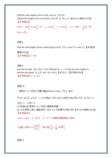(2) Find a unit tangent vector to the curve at  $(2, 0, 0)$ .

(3) Find the length of the curve from  $(2,0,0)$  to  $(0,2,\pi)$ . 【90 中山通訊(15%)】 【參考解答】

(1) 
$$
\vec{A} = -\sin\frac{t}{2}\vec{i} + \cos\frac{t}{2}\vec{j} + \vec{k}
$$
,  $x = 2\cos\frac{t}{2}$ ,  $y = 2\sin\frac{t}{2}$ ,  $z = t$  (2)  $\vec{e} = \frac{1}{\sqrt{2}}(\vec{j} + \vec{k})$   
(3)  $s = \sqrt{2}\pi$ 

習題 8

Find the total length of four-cusped hypocycloid  $\vec{r}(t) = a \cos^3 t \vec{i} + a \sin^3 t \vec{j}$ . 【90 彰師

電機(10%)】  $s = 6a$ 

#### 習題 9

Let s be the path  $s(t) = (2t, t^2, \ln t)$ , defined for  $t > 0$ . Find the area length of s between the points  $(2,1,0)$  and  $(4,4,\ln 2)$ . 【90 清大工程科學(10%)】 【參考解答】  $s = 3 + \ln 2$ 

習題 10

一質點於 x-y 平面之位置向量(position vector)  $\overline{F}(t)$  是由

$$
\overline{F}(t) = p(t)\overline{i} + p'(t)\overline{j} \cdot t \ge 0
$$
 \n If\n 
$$
\overline{F}(t) = p(t)\overline{i} + p'(t)\overline{j} \cdot t \ge 0
$$

 $p(0) = 1 \cdot p'(0) = 0$ 

(1) 試繪出此質點於 x-y 平面之運動軌跡圖。

(2) 求此質點之最小運動速率,並於 x-y 平面標示其發生點。【90 台科營建(15%)】 【參考解答】

 $y = p(t)$ ,  $y = p'(t)$ ,  $y^2 + x^4 = 1$ 爲質點運動軌跡方程式

(2)最小連率
$$
v = \left(\frac{316}{54}\right)^{\frac{1}{2}}
$$
, 鏏生駅 $\left(\frac{1}{6}, \pm \frac{1}{36}\sqrt{1295}\right)$ 

習題 11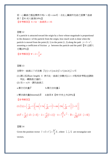若一心臟線之極座標表示為 $r = 2(1 + cos \theta)$ , 求此心臟線所包絡之面積?曲線 長?【91 成大資源(10%)】  $\sqrt{8}$ 考解答】  $A = 6\pi$ , 曲線長  $s = 16$ 

習題 12

If a particle is attracted toward the origin by a force whose magnitude is proportional to the distance r of the particle from the origin, how much work is done when the particle is moved from the point  $(0, 1)$  to the point  $(1, 2)$  along the path  $y = 1 + x^2$ , assuming a coefficient of friction  $\mu$  between the particle and the path? 【91 台師大 光電(20%)】

$$
[
$$
  **l** $\frac{1}{2}$  $\frac{1}{2}$  $W = 2 + \frac{2}{3} \mu$ 

習題 13

空間中一曲線以下式定義  $\overline{f}(t) = e^t (\cos 2t) \overline{i} + e^t (\sin 2t) \overline{j} + e^t \overline{k}$ 

- (1) 請以弧長(arc length) *S* 表示此一曲線之參數式(以*t* = 0點為參考點)並請說 明此一轉換是正確的。
- (2) 在*t* = π/4, 請找曲線之
- a.單位切向量*T*  $\overline{\phantom{a}}$  b.單位法向量*n*  $\overline{a}$
- c.雙法線向量(binormal) $\vec{B}$  d.曲率  $K$  【90 中央十木(20%)】

【參考解答】

$$
(1)\overrightarrow{f}(t) = \left(\frac{s}{\sqrt{6}} + 1\right) \left[ \cos\left(2 \cdot \ln\left(\frac{s}{\sqrt{6}} + 1\right)\overrightarrow{i} + \sin\left(2\ln\left(\frac{s}{\sqrt{6}} + 1\right)\right)\overrightarrow{j} + \overrightarrow{k}\right) \right]
$$

$$
(2)\overrightarrow{T} = \frac{1}{\sqrt{6}}\left(-2\overrightarrow{i} + \overrightarrow{j} + \overrightarrow{k}\right) \; , \; \overrightarrow{n} = \frac{-1}{\sqrt{5}}\left(\overrightarrow{i} + 2\overrightarrow{j}\right) \; , \; k = \frac{\sqrt{5}}{3}e^{-\frac{\pi}{4}} \; , \; \overrightarrow{B} = \frac{1}{\sqrt{30}}\left(2\overrightarrow{i} - \overrightarrow{j} + 5\overrightarrow{k}\right)
$$

習題 14

Given the position vector  $2\overline{z}$ ,  $2t^3$ 3  $\vec{r} = t\vec{i} + t^2\vec{j} + \frac{2t^3}{s}\vec{k}$ , where  $\vec{i}$ ,  $\vec{j}$ ,  $\vec{k}$  are rectangular unit vectors.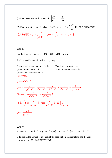(1) Find the curvature *k*, where  $k = \left| \frac{dT}{ds} \right|$  $\overline{\phantom{a}}$  $\overline{T} = \frac{dr}{ds}$  $\vec{T} = \frac{d\vec{r}}{dt}$ .

(2) Find the unit vector *B*  $\overrightarrow{B}$ , where  $\overrightarrow{B} = \overrightarrow{T} \times \overrightarrow{N}$  and  $\overrightarrow{N} = \frac{1}{k} \frac{d\overrightarrow{T}}{ds}$  $\overline{N} = \frac{1}{2} \frac{d\overline{T}}{dt}$ .【91 交大機械(25%)】

$$
\left[\frac{1}{2} \frac{1}{2} \frac{1}{2} \frac{1}{2} \left(1\right) - \frac{2}{\left(1+2t^2\right)^2} \right] (2) \overline{B} = \frac{1}{1+2t^2} \left[2t^2 \overline{i} - 2t \overline{j} + \overline{k}\right]
$$

# 習題 15

For the circular helix curve  $\vec{r}(t) = x(t)\vec{i} + y(t)\vec{j} + z(t)\vec{k}$ 

 $\vec{r}(t) = a \cos t \vec{i} + a \sin t \vec{j} + b t \vec{k}$ ,  $t \ge 0$ , find

 $(1)$ are length s, and in terms of s the (2) unit tangent vector  $\vec{e}_t$ (3)unit normal vector *en*  $\vec{e}_n$  (4)unit binormal vector  $\vec{e}_b$ (5)curvature k and torsion  $\tau$ 【參考解答】

(1) 
$$
s = \sqrt{a^2 + b^2}t
$$
  
\n(2)  $\vec{e}_t = -\frac{a}{\sqrt{a^2 + b^2}} \sin \frac{s}{\sqrt{a^2 + b^2}} \vec{i} + \frac{a}{\sqrt{a^2 + b^2}} \cos \frac{s}{\sqrt{a^2 + b^2}} \vec{j} + \frac{b}{\sqrt{a^2 + b^2}} \vec{k}$   
\n(3)  $\vec{e}_n = -\cos \frac{s}{\sqrt{a^2 + b^2}} \vec{i} - \sin \frac{s}{\sqrt{a^2 + b^2}} \vec{j}$   
\n(4)  $\vec{e}_b = \left(b \sin \frac{s}{\sqrt{a^2 + b^2}} \vec{i} - b \cos \frac{s}{\sqrt{a^2 + b^2}} \vec{j} + a \vec{k}\right) \frac{1}{\sqrt{a^2 + b^2}}$   
\n(5)  $\tau = \frac{a^2b}{(a^2 + b^2)^3}$ 

習題 16

A position vector  $\overrightarrow{P}(t)$  is given,  $\overrightarrow{P}(t) = [\cos t + t \sin t] \overrightarrow{i} + [\sin t - t \cos t] \overrightarrow{j} + t^2 \overrightarrow{k}$ ,  $t >$ 0 determine the normal component of the acceleration, the curvature, and the unit normal vector.【91 淡江環工(20%)】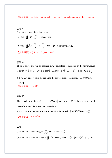【參考解答】<sup>*e<sub>n</sub>* is the unit normal vector,  $\overline{a_n}$  is normal component of acceleration</sup>

習題 17 Evaluate the area of a sphere using  $(1) A(s) = \iint_S dA = \iiint_{u} \times r_v |dudv|$  and  $(2) A(s) = \iint \sqrt{1 + \left( \frac{cy}{\partial r} \right) + \left( \frac{q}{\partial v} \right)}$ ⎠  $\mathcal{A}$  $\parallel$ ⎝  $\sqrt{}$  $\left(\frac{\partial f}{\partial x}\right)^2 + \left(\frac{\partial}{\partial x}\right)^2$ ⎝  $\big($ ∂  $=\iint_{\Omega} \left|1+\left(\frac{\partial f}{\partial x}\right)^2+\left(\frac{\partial f}{\partial x}\right)^2\right| dx dy$ *y f x*  $A(s) = \iint_A \left|1 + \left(\frac{\partial f}{\partial s}\right)^2 + \left(\frac{\partial f}{\partial s}\right)^2\right|$  $|1+|\frac{9}{2}|+|\frac{9}{2}|$  dxdy . 【91 彰師機電(30%)】  $[$ 參考解答】(1)  $A = 4\pi r^2$  (2)  $A = 4\pi r^2$ 

#### 習題 18

There is a new museum on Taoyuan city. The surface of the dome on the new museum is given by  $\vec{r}(u, v) = 20 \sin u \cdot \cos v \vec{i} + 20 \sin u \cdot \sin v \vec{j} + 20 \cos u \vec{k}$  where 3  $0 \le u \le \frac{\pi}{2}$ ,  $0 \le v \le 2\pi$  and *r*  $\overline{a}$  is in meters. Find the surface area of the dome.【91 元智機械 (15%)】

 $\sqrt{8}$ 考解答】  $A = 400\pi$ 

#### 習題 19

The area element of a surface *r*  $\overline{r}$  is  $dA = |\overline{N}| du dv$ , where  $\overline{N}$  is the normal vector of the surface. Find the area of a torus surface

 $\vec{r}(u, v) = (a + b \cos v) \cos u \vec{i} + (a + b \cos v) \sin u \vec{j} + b \sin v \vec{k}$ . 【91 彰師機械(15%)】  $\sqrt{8}$ 考解答】  $A = 4\pi^2ab$ 

習題 20

(1) Evaluate the line integral  $\int_{(0,2)}^{(1,\pi)} \sin xy(ydx + xdy)$  $\int_{0}^{\pi}$  sin xy(ydx + xdy).

(2) Evaluate the double integral  $\iint_R f(x, y)$  $f(x, y)dx dy$ , where  $f(x, y) = cos(x^2 + y^2)$ , R: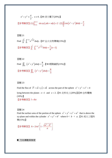$$
x^{2} + y^{2} \leq \frac{\pi}{2}, \quad x \geq 0. \text{ [89 } \#\#\#\#\text{[20\%)}\text{]}
$$
  

$$
\text{[$\frac{1}{2}$ } \#\#\#\text{[1] } \text{[1,1] } \int_{(0,2)}^{(1,\pi)} \sin xy \left( y dx + x dy \right) = 2 \quad (2) \iint_{R} \cos \left( x^{2} + y^{2} \right) dxdy = \frac{\pi}{2}
$$

$$
\mathbb{Z} \boxplus 21
$$
\nFind\n
$$
\int_{0}^{\frac{1}{2}} \int_{0}^{1-2y} e^{\frac{x}{x+2y}} dx dy \cdot \left[ 87 \right] \div \mathbb{Z} \cong 21
$$
\n
$$
\mathbb{Z} \otimes \mathbb{Z} \cong \mathbb{Z} \otimes \mathbb{Z} \otimes \mathbb{Z} \otimes \mathbb{Z} \otimes \mathbb{Z} \otimes \mathbb{Z} \otimes \mathbb{Z} \otimes \mathbb{Z} \otimes \mathbb{Z} \otimes \mathbb{Z} \otimes \mathbb{Z} \otimes \mathbb{Z} \otimes \mathbb{Z} \otimes \mathbb{Z} \otimes \mathbb{Z} \otimes \mathbb{Z} \otimes \mathbb{Z} \otimes \mathbb{Z} \otimes \mathbb{Z} \otimes \mathbb{Z} \otimes \mathbb{Z} \otimes \mathbb{Z} \otimes \mathbb{Z} \otimes \mathbb{Z} \otimes \mathbb{Z} \otimes \mathbb{Z} \otimes \mathbb{Z} \otimes \mathbb{Z} \otimes \mathbb{Z} \otimes \mathbb{Z} \otimes \mathbb{Z} \otimes \mathbb{Z} \otimes \mathbb{Z} \otimes \mathbb{Z} \otimes \mathbb{Z} \otimes \mathbb{Z} \otimes \mathbb{Z} \otimes \mathbb{Z} \otimes \mathbb{Z} \otimes \mathbb{Z} \otimes \mathbb{Z} \otimes \mathbb{Z} \otimes \mathbb{Z} \otimes \mathbb{Z} \otimes \mathbb{Z} \otimes \mathbb{Z} \otimes \mathbb{Z} \otimes \mathbb{Z} \otimes \mathbb{Z} \otimes \mathbb{Z} \otimes \mathbb{Z} \otimes \mathbb{Z} \otimes \mathbb{Z} \otimes \mathbb{Z} \otimes \mathbb{Z} \otimes \mathbb{Z} \otimes \mathbb{Z} \otimes \mathbb{Z} \otimes \mathbb{Z} \otimes \mathbb{Z} \otimes \mathbb{Z} \otimes \mathbb{Z} \otimes \mathbb{Z} \otimes \mathbb{Z} \otimes \mathbb{Z} \otimes \mathbb{Z} \otimes \mathbb{Z} \otimes \mathbb{Z} \otimes \mathbb{Z} \otimes \mathbb{Z} \otimes \mathbb{Z} \otimes \mathbb{Z} \ot
$$

்30

\nFind 
$$
\iint_{R} (x^{2} + y^{2}) \, dx \, dy = \frac{8}{3}.
$$
 [90, 15\%]

\n[
$$
\frac{3}{2} \cdot \frac{15}{3} \cdot \frac{15}{3} = \frac{15}{3}.
$$

Find the flux of  $\vec{F} = x\vec{i} + y\vec{j} + z\vec{k}$  across the part of the sphere  $x^2 + y^2 + z^2 = 4$ lying between the planes *z* = 1 and *z* = 2 .【91 北科化工(20%)】【89 台科電機  $(10\%)$  $[$ 參考解答】  $I = 8\pi$ 

習題 24

Find the surface area of the portion of the sphere  $x^2 + y^2 + z^2 = a^2$  that is above the xy-plane and within the cylinder  $x^2 + y^2 = b^2$  where  $0 < b < a$ . [91 成大工程科 學(15%)】

[
$$
d^*
$$
 $≢$  $¥$  $β$  $+$  $β$  $+$  $2πa^2$  $\left[1-\frac{\sqrt{a^2-b^2}}{a}\right]$ 

■ 方向導數與梯度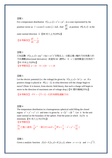For a temperature distribution  $T(x, y, z) = x^2z + yz^2$ , in a cone represented by the position vector as  $r = u \cos v i + u \sin v j + 2uk$  $\vec{r} = u \cos v \vec{i} + u \sin v \vec{j} + 2u \vec{k}$ , find  $\frac{dT}{dn}$  at position  $P(1, 0, 2)$  in the

outer normal direction *n*  $\overline{a}$ .【88 成大土木(20%)】

【參考解答】 $\frac{dT}{dt} = \frac{7}{4}$ 5  $\frac{dT}{dn}$  =

#### 習題 2

 $\Box$ 知函數  $F(x, y, z) = axy^2 +byz + cz^2x^3$ 在點 $(1, 2, -1)$ 處沿著 *z* 軸的方向有最大的 方向導數(directional derivative), 其值為 64, 請問 a, b, c三個常數值分別為何? 【91 中央土木(9%)】 【參考解答】 $a = \pm 6$ ,  $b = \pm 24$ ,  $c = \pm 8$ 

#### 習題 3

Let the electric potential (i.e. the voltage) be given by  $V(x, y, z) = 3x^2y - xz$ . If a positive charge is placed at  $P(1, 1, -1)$ , in what direction will the charge begin to move? (Note: It is known, from electric field theory, that such a charge will begin to move in the direction of maximum rate of voltage drop.) 【91 雲科機械(25%)】

【參考解答】−VV = - (7i + 3j - k)即為質點運動方向

# 習題 4

The temperature distribution in a homogeneous spherical solid filling the closed *z*<sup>2</sup> +  $y^2 + z^2 \le 1$  and time *t* is given by  $u = (z^2 - z)e^{-2t}$ . Let  $\overline{n}$ u<br> be the unit outer normal on the boundary of the sphere. Find the point at which  $\partial u/\partial n$  is minimum. 【91 成大十木(15%)】

$$
\begin{array}{l}\n \left( \frac{1}{2} \frac{1}{2} \frac{1}{2} \frac{1}{2} \frac{1}{2} \frac{1}{2} \frac{1}{2} \frac{1}{2} \frac{1}{2} \frac{1}{2} \frac{1}{2} \frac{1}{2} \frac{1}{2} \frac{1}{2} \frac{1}{2} \frac{1}{2} \frac{1}{2} \frac{1}{2} \frac{1}{2} \frac{1}{2} \frac{1}{2} \frac{1}{2} \frac{1}{2} \frac{1}{2} \frac{1}{2} \frac{1}{2} \frac{1}{2} \frac{1}{2} \frac{1}{2} \frac{1}{2} \frac{1}{2} \frac{1}{2} \frac{1}{2} \frac{1}{2} \frac{1}{2} \frac{1}{2} \frac{1}{2} \frac{1}{2} \frac{1}{2} \frac{1}{2} \frac{1}{2} \frac{1}{2} \frac{1}{2} \frac{1}{2} \frac{1}{2} \frac{1}{2} \frac{1}{2} \frac{1}{2} \frac{1}{2} \frac{1}{2} \frac{1}{2} \frac{1}{2} \frac{1}{2} \frac{1}{2} \frac{1}{2} \frac{1}{2} \frac{1}{2} \frac{1}{2} \frac{1}{2} \frac{1}{2} \frac{1}{2} \frac{1}{2} \frac{1}{2} \frac{1}{2} \frac{1}{2} \frac{1}{2} \frac{1}{2} \frac{1}{2} \frac{1}{2} \frac{1}{2} \frac{1}{2} \frac{1}{2} \frac{1}{2} \frac{1}{2} \frac{1}{2} \frac{1}{2} \frac{1}{2} \frac{1}{2} \frac{1}{2} \frac{1}{2} \frac{1}{2} \frac{1}{2} \frac{1}{2} \frac{1}{2} \frac{1}{2} \frac{1}{2} \frac{1}{2} \frac{1}{2} \frac{1}{2} \frac{1}{2} \frac{1}{2} \frac{1}{2} \frac{1}{2} \frac{1}{2} \frac{1}{2} \frac{1}{2} \frac{1}{2} \frac{1}{2} \frac{1}{2} \frac{1}{2} \frac{1}{2} \frac{1}{2} \frac{1}{2} \frac{1}{2} \frac{1}{2} \frac{1}{2} \frac{1}{2
$$

*n*  $\frac{\partial u}{\partial n}$ 之極小値爲− $\frac{1}{8}e^{-2}$  $-\frac{1}{c}e^{-2t}$ ,發生於 cos  $\theta = \frac{1}{c}$ 4  $\theta = \frac{1}{4}$   $\text{E} z = \frac{1}{4}$ 4  $z = \frac{1}{4}$ ,  $x^2 + y^2 = \frac{15}{16}$ 

習題 5

Given a analytic function  $f(z) = F_1(x, y) + iF_2(x, y)$ , where  $z = x + iy$  and  $i = \sqrt{-1}$ .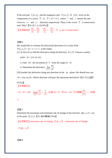If the real part  $F_1(x, y)$  and the imaginary part  $F_2(x, y)$  of  $f(z)$  serve as the components of a vector  $\overline{F}$ , i.e.  $\overline{F} = F_1 \overline{i} + F_2 \overline{j}$  where  $\overline{i}$  and *j*  $\overline{a}$  denote the unit vector in *x* − and *y* − direction respectively. Then, is the vector *F* JK a conservative one? Why?【91 成大土木(10%)】

【參考解答】 $\frac{\partial F_1}{\partial t} = \frac{\partial F_2}{\partial t}$  $\frac{\partial F_1}{\partial x} = \frac{\partial F_2}{\partial y}$ ,  $\frac{\partial F_2}{\partial x} = -\frac{\partial F_1}{\partial y}$ ,  $\overline{F}$ is not a conservative

#### 習題 6

We would like to evaluate the directional derivative of a scalar field  $V(x, y, z) = xy + x + z + 1$  at the origin. (1) At first let us find the derivative along the direction  $(1, 1, 1)$ . Choose a nearby

point  $\Delta \vec{r} = (\Delta t, \Delta t, \Delta t)$ .

 a. Find Δ*V* , the increment of *V* from the origin to Δ*r*  $\overline{a}$ .

b. Determine the derivative  $\lim_{|\Delta \overline{r}| \to 0}$ *V*  $\Delta \vec{r} \rightarrow 0$   $\Delta r$  $\lim_{\overline{r}\to 0}\frac{\Delta V}{\Delta \overline{r}}$ .

(2)Consider the derivative along any direction in the *xy* − plane. We should now use  $\Delta \vec{r} = (\Delta x, \Delta y, 0)$ . Which direction will give the maximum derivative? 【91 中山通訊

# (15%)】

【參考解答】

 (1) Δ = *V dt* 2 , 0 2 <sup>3</sup> lim*<sup>r</sup> V* Δ → *r* <sup>Δ</sup> <sup>=</sup> <sup>Δ</sup> <sup>K</sup> <sup>K</sup> (2)當Δ*<sup>y</sup>* <sup>=</sup> <sup>0</sup>,即Δ*r xi* = Δ K K 方向導數 <sup>1</sup> *<sup>V</sup> r* <sup>Δ</sup> = − <sup>Δ</sup> K 為最

大

#### 習題 7

Determine the maximum and minimum rate of change of the function  $\phi(x, y, z) = xyz$ at the point  $(1, 1, 1, ...)$ . 【91 海洋電機 $(15%)$ 】

【參考解答】maximum rate of change  $|\nabla \phi| = \sqrt{3}$ , minimum rate of change

 $-|\nabla \phi| = -\sqrt{3}$ 

習題 8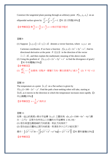Construct the tangential plane passing through an arbitrary point  $P(x_0, y_0, z_0)$  on an ellipsoidal surface given by  $rac{x^2}{a^2} + \frac{y^2}{b^2} + \frac{z^2}{c^2} = 1$  $+\frac{y}{12}+\frac{z}{2}=1.$  【91 清大物理(10%)】 【參考解答】得 $\frac{x_0}{a^2}x + \frac{y_0}{b^2}y + \frac{z_0}{c^2}z = 1$ 爲切平面方程式

# 習題 9

(1) Suppose  $[x, y, z] = x\vec{i} + y\vec{j} + z\vec{k}$  denotes a vector function, where *x*, *y*, *z* are

Cartesian coordinates. If we have a function  $f(x, y, z) = 2x^2 + 3y^2 + z^2$ , find its directional derivative at the point  $P: (2,1,3)$  in the direction of the vector

 $\vec{v} = \vec{i} - 2\vec{k}$ , and then explain the mathematic meaning of the above result.

(2) Using the gradient of  $f(x, y, z) = 2x^2 + 3y^2 + z^2$  to find the divergence of grad *f*. 【91 中央電機(15%)】

# 【參考解答】

(1) 
$$
\frac{df}{ds}\bigg|_{\bar{v}} = -\frac{4}{5} \hat{\text{m}} \hat{\text{m}} \hat{\text{m}} \hat{\text{m}} \hat{\text{m}} \hat{\text{m}} \hat{\text{m}} \hat{\text{m}} \hat{\text{m}} \hat{\text{m}} \hat{\text{m}} \hat{\text{m}} \hat{\text{m}} \hat{\text{m}} \hat{\text{m}} \hat{\text{m}} \hat{\text{m}} \hat{\text{m}} \hat{\text{m}} \hat{\text{m}} \hat{\text{m}} \hat{\text{m}} \hat{\text{m}} \hat{\text{m}} \hat{\text{m}} \hat{\text{m}} \hat{\text{m}} \hat{\text{m}} \hat{\text{m}} \hat{\text{m}} \hat{\text{m}} \hat{\text{m}} \hat{\text{m}} \hat{\text{m}} \hat{\text{m}} \hat{\text{m}} \hat{\text{m}} \hat{\text{m}} \hat{\text{m}} \hat{\text{m}} \hat{\text{m}} \hat{\text{m}} \hat{\text{m}} \hat{\text{m}} \hat{\text{m}} \hat{\text{m}} \hat{\text{m}} \hat{\text{m}} \hat{\text{m}} \hat{\text{m}} \hat{\text{m}} \hat{\text{m}} \hat{\text{m}} \hat{\text{m}} \hat{\text{m}} \hat{\text{m}} \hat{\text{m}} \hat{\text{m}} \hat{\text{m}} \hat{\text{m}} \hat{\text{m}} \hat{\text{m}} \hat{\text{m}} \hat{\text{m}} \hat{\text{m}} \hat{\text{m}} \hat{\text{m}} \hat{\text{m}} \hat{\text{m}} \hat{\text{m}} \hat{\text{m}} \hat{\text{m}} \hat{\text{m}} \hat{\text{m}} \hat{\text{m}} \hat{\text{m}} \hat{\text{m}} \hat{\text{m}} \hat{\text{m}} \hat{\text{m}} \hat{\text{m}} \hat{\text{m}} \hat{\text{m}} \hat{\text{m}} \hat{\text{m}} \hat{\text{m}} \hat{\text{m}} \hat{\text{m}} \hat{\text{m}} \hat{\text{m}} \hat{\text{m}} \hat{\text{m}} \hat{\text{m}} \hat{\text{m}} \hat{\text{m}} \hat{\text{m}} \hat{\text{m}} \hat{\text{m}} \hat{\text{m}} \hat{\text{m}} \hat{\text{m}} \hat{\text{m}} \hat{\text{m}} \hat{\text{m}} \hat{\text
$$

# 習題 10

The temperature at a point  $(x, y)$  on a flat surface is given by

 $T(x, y) = 100 - 2x^{2} - y^{2}$ . Find the path a heat-seeking robot will take, starting at  $(3,4)$ , as it moves in the direction in which the temperature increases most rapidly.  $\blacksquare$ 中山機電(15%)】

【參考解答】  $x = \frac{3}{2}y^2$ 16  $x = \frac{3}{2}y^2$ 爲所求

習題 11

如果一座山的高度z與水平座標(*x*, y)之關係爲 z(*x*, y)=1500−6*x*<sup>2</sup>−4y<sup>2</sup>(單 位:公尺),且現今你所在山上位置的水平座標為 (-10,-10),

(1) 若你希望往最陡峭的方向前進,則此方向為何?

(2) 若你由此位置向山頂方向前進,則須走多少公尺才能攻頂?

$$
-\frac{1}{2}\left[\sqrt{x^2+a^2}dx-\frac{1}{2}\left[x\sqrt{x^2+a^2}+a^2\log\left(x+\sqrt{x^2+a^2}\right)\right]\right]
$$
 91\n
$$
\left[\frac{1}{2}\right]\left[\frac{1}{2}\right]
$$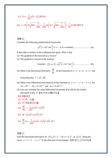(1) 
$$
\nabla z = \frac{1}{\sqrt{13}} (3\vec{i} - 2\vec{j}) \triangleq \text{Im} \left[ 10 + \sqrt{100 + \frac{1}{200}} \right] + \frac{1}{10} \ln 200 \triangleq \text{Im} \left[ 10 + \sqrt{100 + \frac{1}{200}} \right] + \frac{1}{10} \ln 200 \triangleq \text{Im} \left[ \text{Im} \left( 10 + \sqrt{100 + \frac{1}{200}} \right) \right] + \frac{1}{10} \ln 200 \triangleq \text{Im} \left[ \text{Im} \left( 10 + \sqrt{100 + \frac{1}{200}} \right) \right]
$$

Consider the following mathematical expression

$$
\sqrt{x^3 y} + 6x^2 \sin \frac{y}{z} \pi = c
$$
 (*c* is a costant)..........(a)

It describes a surface in the 3-dimensional space. Why is that

- (1) The gradient of the function is a vector?
- (2) The gradient is normal to the surface?

Consider 
$$
f(x, y, z) = \sqrt{x^3 y} + 6x^2 \sin \frac{y}{z} \pi
$$
............(b)

(3) What is the directional derivative *ds*  $\frac{df}{dx}$  of this function at  $x = 1$ ,  $y = 2$ ,  $z = 3$  and

in the direction  $\hat{i} + 2\hat{j} + 3\hat{k}$ .

- (4) What is the differential increment df of this function at  $x = 1$ ,  $y = 2$ ,  $z = 3$ , for  $\Delta x = 10^{-3}$  ,  $\Delta y = 2 \times 10^{-3}$  and  $\Delta z = 3 \times 10^{-3}$ ?
- (5) Can you calculate the same differential increment *df* in (4) for the surface described in EQ. 1?【90 中央光電(15%)】
- 【參考解答】
- (1) ∇*f* 為一向量
- (2) ∇*f* 為曲面法向量
- (3)  $\frac{df}{dx} = \frac{1}{\sqrt{2}} (2\sqrt{2} + 6\sqrt{3})$ *<sup>e</sup>* 14 *df*  $\frac{dy}{ds}\Big|_{\bar{e}} = \frac{1}{\sqrt{14}}(2\sqrt{2}+6\sqrt{3})$

(4) 
$$
df = (2\sqrt{2} + 6\sqrt{3}) \times 10^{-3}
$$

(5) 
$$
\frac{df}{ds}ds = \frac{1}{\sqrt{14}}(2\sqrt{2} + 6\sqrt{3}) \cdot \sqrt{14} \cdot 10^{-3}
$$

# 習題 13

Find the directional derivative of  $f(x, y) = x^4 - 3x^3y + x^2y^2$  at (2,1) along the curve  $x = t^2 + 1$ ,  $y = t^3$  in the direction of increasing *t*. [89 成大土木(15%)]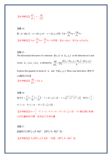$$
\left[\frac{1}{2} \frac{1}{2} \frac{df}{ds}\right]_{\bar{e}} = -\frac{48}{\sqrt{13}}
$$

$$
\begin{aligned}\n\mathbb{Z} \mathbb{E} \mathbf{1} & 14 \\
\mathbb{E} \phi &= \phi(u, v) \cdot u = u(x, y, z) \cdot v = v(x, y, z) \quad \text{and} \quad \nabla \phi = \frac{\partial \phi}{\partial u} \nabla u + \frac{\partial \phi}{\partial v} \nabla v \cdot \nabla \phi \\
\mathbb{E} \mathbb{E} \mathbb{E} \mathbb{E} \mathbb{E} \mathbb{E} \mathbb{E} \mathbb{E} \mathbb{E} \mathbb{E} \mathbb{E} \mathbb{E} \mathbb{E} \mathbb{E} \mathbb{E} \mathbb{E} \mathbb{E} \mathbb{E} \mathbb{E} \mathbb{E} \mathbb{E} \mathbb{E} \mathbb{E} \mathbb{E} \mathbb{E} \mathbb{E} \mathbb{E} \mathbb{E} \mathbb{E} \mathbb{E} \mathbb{E} \mathbb{E} \mathbb{E} \mathbb{E} \mathbb{E} \mathbb{E} \mathbb{E} \mathbb{E} \mathbb{E} \mathbb{E} \mathbb{E} \mathbb{E} \mathbb{E} \mathbb{E} \mathbb{E} \mathbb{E} \mathbb{E} \mathbb{E} \mathbb{E} \mathbb{E} \mathbb{E} \mathbb{E} \mathbb{E} \mathbb{E} \mathbb{E} \mathbb{E} \mathbb{E} \mathbb{E} \mathbb{E} \mathbb{E} \mathbb{E} \mathbb{E} \mathbb{E} \mathbb{E} \mathbb{E} \mathbb{E} \mathbb{E} \mathbb{E} \mathbb{E} \mathbb{E} \mathbb{E} \mathbb{E} \mathbb{E} \mathbb{E} \mathbb{E} \mathbb{E} \mathbb{E} \mathbb{E} \mathbb{E} \mathbb{E} \mathbb{E} \mathbb{E} \mathbb{E} \mathbb{E} \mathbb{E} \mathbb{E} \mathbb{E} \mathbb{E} \mathbb{E} \mathbb{E} \mathbb{E} \mathbb{E} \mathbb{E} \mathbb{E} \mathbb{E} \mathbb{E} \mathbb{E} \mathbb{E} \mathbb{E} \mathbb{E} \mathbb{E} \mathbb{E} \mathbb{E} \mathbb{E} \mathbb{E}
$$

The directional derivative of a function  $\phi(x, y)$  at  $(x_0, y_0)$  in the direction of a unit

vector 
$$
\vec{a}_u = \vec{a}_x u_x + \vec{a}_y u_y
$$
 is defined by 
$$
\frac{d\phi}{d\vec{a}_u} = \lim_{h \to 0} \frac{\phi(x_0 + hu_x, y_0 + hu_y) - \phi(x_0, y_0)}{h}
$$

Express this quantity in terms of  $\overline{a}_u$  and  $\nabla \phi(x_0, y_0)$ . Show your derivative. 【90 中 山通訊(15%)】

$$
\left[\frac{1}{2} \frac{\partial \phi}{\partial \dot{q}} + \nabla \phi \cdot \vec{a}_u \right]
$$

$$
\begin{aligned}\n\mathbb{Z} \mathbb{E} \, 16 \\
\overleftrightarrow{E} \, \hat{\Theta} \, \nabla &= \frac{\partial}{\partial x} \mathbf{i} + \frac{\partial}{\partial y} \mathbf{j} + \frac{\partial}{\partial z} \mathbf{k} \, \cdot \, \vec{r} = x \mathbf{i} + y \mathbf{j} + z \mathbf{k} \, \cdot \, r = \sqrt{x^2 + y^2 + z^2} = |\vec{r}| \, \cdot \, \mathbb{E} \, \nabla \cdot \vec{r} \\
\nabla \cdot \vec{r} &= 3 \, \cdot \, \nabla \times \vec{r} = 0 \, \cdot \, \nabla \vec{r} = \mathbf{i} \mathbf{i} + \mathbf{j} \mathbf{j} + \mathbf{k} \mathbf{k} \, \cdot \nabla\n\end{aligned}
$$

【參考解答】 *<sup>r</sup> r r*  $\nabla r =$  $\vec{r}$ ,  $\nabla \cdot \vec{r} = 3$ ,  $\nabla \times \vec{r} = 0$ ,  $\nabla \vec{r} = \vec{i} \vec{i} + \vec{j} \vec{j} + \vec{k} \vec{k}$ ,  $\nabla \vec{r}$ 類似單位矩陣, 任何向量與其內積,皆為自己本身向量

$$
\overline{\mathbb{Z}}\overline{\mathbb{E}}\,17
$$

【参考解答】  $\overline{A} \cdot (\overline{B} \overline{C}) = (\overline{A} \cdot \overline{B}) \overline{C}$ , 同理,  $(\overline{B} \overline{C}) \cdot \overline{A} = \overline{B} (\overline{C} \cdot \overline{A})$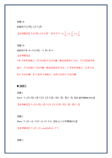試證明 $\overline{A}\cdot(\nabla\overline{B}) = (\overline{A}\cdot\nabla)\overline{B}$ 。

【參考解答】 $\vec{A} \cdot (\nabla \vec{B}) = (\vec{A} \cdot \nabla) \vec{B} \cdot \vec{A} + \vec{A} \cdot \nabla = a_1 \frac{\partial}{\partial x} + a_2 \frac{\partial}{\partial y} + a_3 \frac{\partial}{\partial z}$  $\cdot \nabla = a_1 \frac{\partial}{\partial t} + a_2 \frac{\partial}{\partial t} + a_3 \frac{\partial}{\partial t}$  $\partial x$   $\partial y$   $\partial z$   $\partial$  $\overline{\phantom{a}}$ 

習題 19 試說明∇ $\overrightarrow{B} \cdot \overrightarrow{A} \neq \overrightarrow{A} \cdot (\nabla \overrightarrow{B})$ ,  $\nabla \cdot \overrightarrow{B} \neq \overrightarrow{B} \cdot \nabla$  。 【參考解答】  $\nabla \overrightarrow{B} \cdot \overrightarrow{A}$  表  $\overrightarrow{B}$ 被微分, *B*  $\Rightarrow$ 方向與 *A* \_<br>*A* 方向內積,最後結果為∇方向。 *A* · (∇*B*)表 *B* 微分, *A*  $\rightarrow$ 方向與∇方向內積,最後結果爲*B*  $\overline{\phantom{a}}$ 方向。∇*⋅B*  $\overline{\phantom{a}}$ 表 *B*  $\overline{\phantom{a}}$ 被微分,且 *B*  $\overline{\phantom{a}}$  $\overline{\phantom{a}}$ 

被

方向

和∇ 方向內積, *B*⋅∇ JK <sup>表</sup> *<sup>B</sup>* JK 不被微分,但 *B* 方向和∇ 方向內積。

#### ■ 運算子

習題 1

Prove  $\nabla \times (\vec{A} \times \vec{B}) = (\vec{B} \cdot \nabla) \vec{A} - (\vec{A} \cdot \nabla) \vec{B} + \vec{A} (\nabla \cdot \vec{B}) - \vec{B} (\nabla \cdot \vec{A})$ .【89 逢甲機械(18%)】

【参考解答】∇× $(\vec{A} \times \vec{B}) = (\vec{B} \cdot \nabla) \vec{A} - (\vec{A} \cdot \nabla) \vec{B} + \vec{A} (\nabla \cdot \vec{B}) - \vec{B} (\nabla \cdot \vec{A})$ 

習題 2

Show  $\nabla \times (\nabla \times \vec{v}) = \nabla (\nabla \cdot \vec{v}) - (\nabla \cdot \nabla) \vec{v}$ . 【88 台大生物環境(5%)】

 $[$ 參考解答】∇× $(\nabla \times \vec{v}) = grad (div \vec{v}) - \nabla^2 \vec{v}$  $\rightarrow$  (  $\rightarrow$   $\rightarrow$   $\rightarrow$ 

習題 3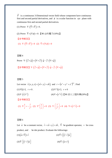$\vec{F}$  is a continuous 3-Dimensional vector field whose component have continuous first and second partial derivatives, and  $\phi$  is a scalar function in *xyz* plane with continuous first and second partial derivatives.

(1) Prove 
$$
\nabla \cdot (\overline{\nabla} \times \overline{F}) = 0
$$
.

(2) Prove  $\overrightarrow{\nabla} \times (\nabla \phi) = 0$ . 【90 台科電子(10%)】

【參考解答】 (1)  $\nabla \cdot (\overrightarrow{\nabla} \times \overrightarrow{F}) = 0$  (2)  $\overrightarrow{\nabla} \times (\nabla \phi) = 0$ 

#### 習題 4

Prove  $\nabla \cdot (\overrightarrow{f} \times \overrightarrow{g}) = (\nabla \times \overrightarrow{f}) \cdot \overrightarrow{g} - \overrightarrow{f} \cdot (\nabla \times \overrightarrow{g})$ 【參考解答】 $\nabla \cdot (\overrightarrow{f} \times \overrightarrow{g}) = (\nabla \times \overrightarrow{f}) \cdot \overrightarrow{g} - \overrightarrow{f} \cdot (\nabla \times \overrightarrow{g})$ 

# 習題 5

Let vector  $\vec{r}(x, y, z) = (\vec{xi} + y \vec{j} + z \vec{k})$  and  $r = (x^2 + y^2 + z^2)^{1/2}$ . Find (1) $\nabla (1/r)$ ,  $r \neq 0$ . (2) $\nabla^2 (1/r)$ ,  $r \neq 0$  $(3) \nabla \cdot (\vec{r}/r^3)$ (4)  $\nabla \times (r^n r)$  【90 清大工程科學(20%)】

【參考解答】

(1) 
$$
\nabla \frac{1}{r} = -\frac{\vec{r}}{r^3}
$$
 (2)  $\nabla^2 \left(\frac{1}{r}\right) = 0$  (3)  $\nabla \cdot \left(\frac{\vec{r}}{r^3}\right) = 0$  (4)  $\nabla \times \left(r^n \vec{r}\right) = 0$ 

# 習題 6

Let *a*  $\overline{a}$ be a constant vector,  $\vec{r} = x\vec{i} + y\vec{j} + z\vec{k}$ ,  $\vec{\nabla}$  be gradient operator,  $\times$  be cross product, and ⋅ be dot product. Evaluate the followings:

 $(1)\left(\vec{a}\times\vec{\nabla}\right)\times\vec{r}$  $\vec{a} \times \vec{\nabla}$ )  $\times \vec{r}$  (2)  $\vec{\nabla} \times [(\vec{r} \cdot \vec{r}) \vec{a}]$  $(3)\overrightarrow{\nabla}\cdot\left[\left(\overrightarrow{r}\cdot\overrightarrow{r}\right)\overrightarrow{a}\right]$  $(4)\overrightarrow{\nabla}\cdot(\overrightarrow{a}\times\overrightarrow{r})$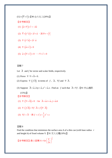$$
(5\vec{a}\times(\vec{\nabla}\times\vec{r}))\bullet(90\stackrel{\triangle}{\leftrightarrow}\times(\angle\bot(20\%)\bullet)
$$

【參考解答】

- (1)  $(\vec{a} \times \nabla) \times \vec{r} = -2\vec{a}$
- (2)  $\vec{\nabla} \times (r^2 \vec{a}) = 2 \vec{r} \times \vec{a}$ , 其中 $r = |\vec{r}|$
- (3)  $\nabla \cdot ( r^2 \vec{a} ) = 2 \vec{r} \cdot \vec{a}$
- (4)  $\nabla \cdot (\vec{a} \times \vec{r}) = 0$
- (5)  $\vec{a} \times (\nabla \times \vec{r}) = 0$   $\cdot \cdot \cdot \nabla \times \vec{r} = 0$

# 習題 7

- Let *A*  $\Rightarrow$ and *f* be vector and scalar fields, respectively.
- (1) Prove  $\nabla \cdot \nabla \times \vec{A} = 0$ .
- (2) Express  $\nabla \cdot (f \vec{A})$  in terms of *f*,  $\vec{A}$ ,  $\nabla f$  and  $\nabla \cdot A$  $\rightarrow$ .
- (3) Suppose  $\overline{A} = \overline{a_x 2xy + a_y x^2 + a_z z}$ . Find an *f* such that  $\overline{A} = \nabla f$ .【91 中山通訊 (15%)】

# 【參考解答】

(1)  $\nabla \cdot (\nabla \times \vec{A}) = 0$  , for  $\vec{A} = \vec{a_1} \vec{i} + \vec{a_2} \vec{j} + \vec{a_3} \vec{k}$ 

$$
(2) \nabla \cdot (f\overrightarrow{A}) = \nabla f \cdot \overrightarrow{A} + f(\nabla \cdot \overrightarrow{A})
$$

(3)  $\nabla f = A$  $\overrightarrow{A}$  , 得  $f = x^2y + \frac{1}{2}z^2 + c$ 

# 習題 8

Find the condition that minimizes the surface area A of a thin can (with base radius *r* and height h) of fixed volume V.【91 交大光電(10%)】

$$
\left[\frac{1}{2\pi}\right]^{\frac{2}{3}}
$$

$$
\frac{1}{2\pi}\left[\frac{1}{2\pi}\right]^{\frac{2}{3}}
$$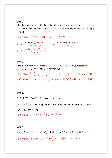Find the closest point on the plane  $Ax + By + Cz + D = 0$  to the point  $(x_0, y_0, z_0)$  in space. Formulate this problem as a constrained minimization problem.【90 中山海下  $(15\%)$ 

 $\mathbb{R} \otimes \mathbb{R}$ 解答】在平面上,最接近 $(x_0, y_0, z_0)$ 之點爲 $(x, y, z)$ ,

$$
x = x_0 - \frac{A(Ax_0 + By_0 + Cz_0 + D)}{A^2 + B^2 + C^2} , y = y_0 - \frac{B(Ax_0 + By_0 + Cz_0 + D)}{A^2 + B^2 + C^2} ,
$$
  

$$
z = z_0 - \frac{B(Ax_0 + By_0 + Cz_0 + D)}{A^2 + B^2 + C^2}
$$

#### 習題 10

Find the minimum of the function  $f(x, y, z) = 2xy + 6yz + 8xz$ , subject to the constraint  $xyz = 12000$ . 【89 台大環工(15%)】

\n
$$
\left[ \frac{2}{3} + \frac{1}{3} + \frac{6}{x} \right] \times \left[ \frac{8}{x} + \frac{2}{y} \right] \times \left[ \frac{1}{3} + \frac{1}{4} \right] = t, \quad x = 3t, \quad y = 4t, \quad z = t, \quad \text{[} \cdot \text{[} \cdot \text{[} \cdot \text{[} \cdot \text{[} \cdot \text{[} \cdot \text{[} \cdot \text{[} \cdot \text{[} \cdot \text{[} \cdot \text{[} \cdot \text{[} \cdot \text{[} \cdot \text{[} \cdot \text{[} \cdot \text{[} \cdot \text{[} \cdot \text{[} \cdot \text{[} \cdot \text{[} \cdot \text{[} \cdot \text{[} \cdot \text{[} \cdot \text{[} \cdot \text{[} \cdot \text{[} \cdot \text{[} \cdot \text{[} \cdot \text{[} \cdot \text{[} \cdot \text{[} \cdot \text{[} \cdot \text{[} \cdot \text{[} \cdot \text{[} \cdot \text{[} \cdot \text{[} \cdot \text{[} \cdot \text{[} \cdot \text{[} \cdot \text{[} \cdot \text{[} \cdot \text{[} \cdot \text{[} \cdot \text{[} \cdot \text{[} \cdot \text{[} \cdot \text{[} \cdot \text{[} \cdot \text{[} \cdot \text{[} \cdot \text{[} \cdot \text{[} \cdot \text{[} \cdot \text{[} \cdot \text{[} \cdot \text{[} \cdot \text{[} \cdot \text{[} \cdot \text{[} \cdot \text{[} \cdot \text{[} \cdot \text{[} \cdot \text{[} \cdot \text{[} \cdot \text{[} \cdot \text{[} \cdot \text{[} \cdot \text{[} \cdot \text{[} \cdot \text{[} \cdot \text{[} \cdot \text{[} \cdot \text{[} \cdot \text{[} \cdot \text{[} \cdot \text{[} \cdot \text{[} \cdot \text{[} \cdot \text{[} \cdot \text{[} \cdot \text{[} \cdot \text{[} \cdot \text{[} \cdot \text{[} \cdot \text{[} \cdot \text{[} \cdot \text{[} \cdot \text{[} \cdot \text{[} \cdot \text{[} \cdot \text{[} \cdot \text{[} \cdot \text{[} \
$$

#### 習題 11

(1)Find  $\nabla f$ ,  $f = e^{ik \cdot r}$ ,  $\vec{k}$  $\overline{a}$ is a constant vector.

(2)If  $\vec{k} = (1, 2, 4)$ , find  $\nabla \times (f \vec{v})$ , where  $\vec{v}$  is an unit constant vector and  $\vec{v} \times \vec{k} = 0$ . 【87 中山光電(10%)】

【參考解答】(1)  $\nabla f = te^{i\vec{k}\cdot\vec{r}}\vec{k}$  (2)  $\nabla \times (f\vec{v}) = 0$ 

$$
\mathbb{Z} \boxtimes 12
$$
\n
$$
v = -\left(x\vec{i} + y\vec{j} + z\vec{k}\right)\left(x^{2} + y^{2} + z^{2}\right)^{-\frac{3}{2}}, \text{ find } f \text{ for } \nabla f = \vec{v} \cdot \mathbf{[}86 \stackrel{\triangle}{=} \pm \frac{1}{\sqrt{2}} \mathcal{R}(15\%) \mathbf{[}
$$
\n
$$
\mathbf{[} \otimes \mathcal{F} \boxtimes \mathcal{F} \boxtimes \mathcal{F} \text{]} f'(r) = -\frac{1}{r^{2}} \cdot f(r) = \frac{1}{r} + c \cdot f = \left(x^{2} + y^{2} + z^{2}\right)^{-\frac{1}{2}} + c
$$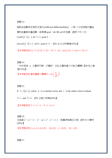假設各函數有足夠的可微分(sufficient differentiability), *f* 與 *v*  $\overline{a}$ 分別為點位置座 標的純量與向量函數,試根據 grad, div 與 curl 的定義,證明下列二式:  $(1) div (f \vec{v}) = f div \vec{v} + \vec{v} \cdot grad f$ 

(2)  $curl(f \vec{v}) = f \curl(\vec{v} + grad f \times \vec{v} \cdot (91 \Delta \vec{v}) + (91 \Delta \vec{v})$ 

【參考解答】(1)  $\nabla \cdot (f\overrightarrow{v}) = \overrightarrow{v} \cdot \nabla f + f \nabla \cdot \overrightarrow{v}$  (2)  $curl (f\overrightarrow{v}) = f \ curl v + \nabla f \times \overrightarrow{v}$ 

習題 14

一內半徑為 *a* 之圓球內裝一正圓柱,求此正圓柱最大可能之體積?【89 成大資 源(15%)】

【參考解答】圓柱體最大體積 $V = 4\pi |\frac{u}{f}|$ 3 3  $V = 4\pi \left(\frac{a}{\sqrt{3}}\right)$ 

# 習題 15

If  $\vec{v} = \vec{v} (\vec{a} \cdot \vec{r})$ , where  $\vec{a}$  is a constant vector and *r*  $\overline{a}$ is the radius vector evaluate

∇ ⋅*v*  $\overline{a}$ and  $\nabla \times v$  $\overline{a}$ . 【91 台師大物理(20%)】

**【參考解答】∇·** $\vec{v} = \vec{v} \cdot \vec{a}$ **, ∇×** $\vec{v} = \vec{a} \times \vec{v}$ 

習題 16 求曲線  $x^2 + y^2 = 1$ ,  $x^2 - xy + y^2 - z^2 = 1$ 上, 距離原點最近之點。【90 交大電物 (20%)】

【參考解答】 $(x, y, z) = (1,0,0)$ ,  $(0,1,0)$ ,  $(-1,0,0)$ ,  $(0,-1,0)$ 

習題 17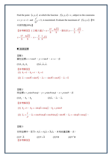Find the point  $(x, y, z)$  at which the function  $f(x, y, z) = z$ , subject to the constrains  $x + y + z = 1$  and  $\frac{z}{\sqrt{3}} = 3$ 2  $\frac{z^2}{xy^3}$  = 3, is maximized. Evaluate the maximum of  $f(x, y, z)$ . [91 中原物理(20%)】

\n
$$
f \otimes \mathbb{Z} \cong \mathbb{Z}
$$
\n \n  $f \otimes \mathbb{Z} \cong \mathbb{Z}$ \n

\n\n $f \otimes \mathbb{Z} \cong \mathbb{Z}$ \n

\n\n $f \otimes \mathbb{Z} \cong \mathbb{Z}$ \n

\n\n $f \otimes \mathbb{Z} \cong \mathbb{Z}$ \n

\n\n $f \otimes \mathbb{Z}$ \n

\n\n $f \otimes \mathbb{Z}$ \n

\n\n $f \otimes \mathbb{Z}$ \n

\n\n $f \otimes \mathbb{Z}$ \n

\n\n $f \otimes \mathbb{Z}$ \n

\n\n $f \otimes \mathbb{Z}$ \n

\n\n $f \otimes \mathbb{Z}$ \n

\n\n $f \otimes \mathbb{Z}$ \n

\n\n $f \otimes \mathbb{Z}$ \n

\n\n $f \otimes \mathbb{Z}$ \n

\n\n $f \otimes \mathbb{Z}$ \n

\n\n $f \otimes \mathbb{Z}$ \n

\n\n $f \otimes \mathbb{Z}$ \n

\n\n $f \otimes \mathbb{Z}$ \n

\n\n $f \otimes \mathbb{Z}$ \n

\n\n $f \otimes \mathbb{Z}$ \n

\n\n $f \otimes \mathbb{Z}$ \n

\n\n $f \otimes \mathbb{Z}$ \n

\n\n $f \otimes \mathbb{Z}$ \n

\n\n $f \otimes \mathbb{Z}$ \n

\n\n $f \otimes \mathbb{Z}$ \n

\n\n $f \otimes \mathbb{Z}$ \n

\n\n $f \otimes \mathbb{Z}$ \n

\n\n $f \otimes \mathbb{Z}$ \n

\n\n $f \otimes \mathbb{Z}$ \n

\n\n $f \otimes \mathbb{Z}$ \n

\n\n $f \otimes \mathbb{Z}$ \n

\n\n $f \otimes \mathbb{Z}$ \n

# ■ 曲線座標

習題 1 圓柱座標  $x = r \cos \theta$ ,  $y = r \sin \theta$ ,  $z = z$ , 求

 $(1) h_r, h_\theta, h_z$   $(2) \vec{e}_r, \vec{e}_\theta, \vec{e}_z$ 

# 【參考解答】

- (1)  $h_r = 1$ ,  $h_{\theta} = r$ ,  $h_z = 1$
- (2)  $\vec{e}_r = \cos \theta \vec{i} + \sin \theta \vec{j}$ ,  $\vec{e}_\theta = -\sin \theta \vec{i} + \cos \theta \vec{j}$ ,  $\vec{e}_z = \vec{k}$

# 習題 2 球座標 *x* =  $\rho$  sin θ cos  $\phi$  ,  $y = \rho$  sin θ cos  $\phi$  ,  $z = \rho$  cos θ , 求  $(1) h_{\rho}$ , *h*<sub>θ</sub>, *h*<sub>φ</sub> (2)  $e_{\rho}$ ,  $\vec{e}_{\theta}$ ,  $\vec{e}_{\phi}$

【參考解答】

(1) 
$$
h_{\rho} = 1 \cdot h_{\theta} = -\sin \phi \vec{i} + \cos \phi \vec{j} \cdot h_{\phi} = \rho \sin \theta
$$

(2) 
$$
\vec{e}_{\rho} = \frac{\vec{r}}{\rho} , \vec{e}_{\theta} = \cos \theta \cos \phi \vec{i} + \cos \theta \sin \phi \vec{j} - \sin \theta \vec{k} , \vec{e}_{\phi} = -\sin \phi \vec{i} + \cos \phi \vec{j}
$$

# 習題 3

在球座標中,若  $\overline{A} = A_r \overline{e}_r + A_g \overline{e}_\theta + \overline{A}_\theta \overline{e}_\theta$  ,  $B$  爲純量函數。求:

 $(1)\nabla \cdot A$  $\rightarrow$  $(2)\nabla\times\vec{A}$   $(3)\nabla B$   $(4)\nabla^2B$ 【參考解答】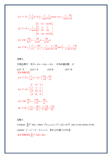(1) 
$$
\nabla \cdot \overline{A} = \frac{1}{r^2} \frac{\partial}{\partial r} (r^2 A_r) + \frac{1}{r \sin \theta} \frac{\partial}{\partial \theta} (\sin \theta \cdot A_\theta) + \frac{1}{r \sin \theta} \frac{\partial A_\phi}{\partial \phi}
$$
  
\n(2) 
$$
\nabla \times \overline{A} = \frac{1}{r^2 \sin \theta} \begin{vmatrix} \overline{e}_r & \overline{r} \overline{e}_\theta & r \sin \theta \overline{e}_\phi \\ \frac{\partial}{\partial r} & \overline{r} \overline{e}_\theta & \overline{r} \overline{e}_\phi \\ A_r & rA_\theta & r \sin \theta A_\phi \end{vmatrix}
$$
  
\n(3) 
$$
\nabla B = \frac{\partial B}{h_r \partial r} \overline{e}_r + \frac{\partial B}{h_\theta \partial \theta} \overline{e}_\theta + \frac{\partial B}{h_\phi \partial \phi} \overline{e}_\phi
$$
  
\n(4) 
$$
\nabla^2 B = \frac{1}{r^2} \frac{\partial}{\partial r} \left( r^2 \frac{\partial B}{\partial r} \right) + \frac{1}{r^2 \sin \theta} \frac{\partial}{\partial \theta} \left( \frac{\partial B}{\partial \theta} \sin \theta \right) + \frac{1}{r^2 \sin^2 \theta} \frac{\partial^2 B}{\partial \phi^2}
$$

 $\overline{A}$ 極座標中,若  $\overline{A} = A_r \overline{e}_r + A_\theta \overline{e}_\theta + A_z \overline{e}_z$  ,  $B$  爲純量函數。求  $(1)\nabla \cdot A$  $\overline{\phantom{a}}$  $(2)\nabla\times\vec{A}$   $(3)\nabla B$   $(4)\nabla^2B$  $(4)\nabla^2 B$ 【參考解答】 (1)  $\nabla \cdot \vec{A} = \frac{1}{2} \frac{\partial}{\partial} (r \cdot A_r) + \frac{1}{2} \frac{\partial A_\theta}{\partial} + \frac{\partial A_\theta}{\partial}$  $r \partial r$ <sup>*r*</sup>  $\partial r$  *r*  $\partial \theta$  *dz* θ  $\nabla \cdot \overline{A} = \frac{1}{r} \frac{\partial}{\partial r} \left( r \cdot A_r \right) + \frac{1}{r} \frac{\partial A_\theta}{\partial \theta} + \frac{\partial}{\partial \theta}$  $\partial r$ <sup>  $\int$ </sup>  $\int$ <sup> $r$ </sup>  $\partial \theta$   $\int$   $\partial$  $\vec{A} = \frac{1}{2} \frac{\partial}{\partial (r \cdot A_r)} + \frac{1}{2} \frac{\partial A_\theta}{\partial A_\theta} + \frac{\partial A_z}{\partial A_z}$ (2)  $\frac{1}{2}$  $e_r$   $re_{\theta}$   $e_z$  $r I^{II}\theta I^{I}$ *A*  $r\vert \partial r \vert \partial \theta \vert \partial z$  $A_r$   $rA_\theta$  *A* θ θ  $\nabla \times \overline{A} = \frac{1}{r} \frac{\partial}{\partial r} \frac{\partial}{\partial \theta} \frac{\partial}{\partial z}$ ∂∂ ∂  $\overline{a}$  and  $\overline{a}$  $\vec{A} = \frac{1}{2} \begin{vmatrix} \frac{\partial}{\partial x} & \frac{\partial}{\partial y} & \frac{\partial}{\partial z} \end{vmatrix}$ (3)  $\nabla B = \frac{\partial B}{\partial \rho} \vec{e}_r + \frac{1}{2} \frac{\partial B}{\partial \rho} \vec{e}_\theta + \frac{\partial B}{\partial \rho} \vec{e}_z$  $\nabla B = \frac{\partial B}{\partial r}\vec{e}_r + \frac{1}{r}\frac{\partial B}{\partial \theta}\vec{e}_\theta + \frac{\partial B}{\partial z}$  $\partial r$   $r \partial \theta$   $\partial$  $\vec{e}_r + \frac{1}{2} \frac{\partial B}{\partial \theta} \vec{e}_\theta + \frac{\partial B}{\partial \theta} \vec{e}_z$ (4)  $\mathbf{2}_{\mathbf{B}} = \begin{bmatrix} 1 & \partial \end{bmatrix} \begin{bmatrix} 1 & \partial B \end{bmatrix}$ ,  $1 \partial^2 B \begin{bmatrix} 1 & \partial^2 B \end{bmatrix}$  $B = \frac{1}{r} \frac{\partial}{\partial r} \left( r \cdot \frac{\partial B}{\partial r} \right) + \frac{1}{r^2} \frac{\partial^2 B}{\partial \theta^2} + \frac{\partial^2 B}{\partial r^2}$  $\nabla^2 B = \frac{1}{r} \frac{\partial}{\partial r} \left( r \cdot \frac{\partial B}{\partial r} \right) + \frac{1}{r^2} \frac{\partial^2 B}{\partial \theta^2} + \frac{\partial^2 B}{\partial z^2}$ 

習題 5

Compute  $\iint_{S} \vec{F} \cdot \vec{n} d\sigma$ , where  $\vec{F}(x, y, z) = x^2 \hat{i} + 2y \hat{j} + 4z^2 \hat{k}$  and *s* is the surface of the cylinder  $x^2 + y^2 \le 4$  ,0≤z≤2. 【89 台科電子(12%)】 【参考解答】 $\iint_S \overline{F} \cdot \overline{n} dA = 80\pi$